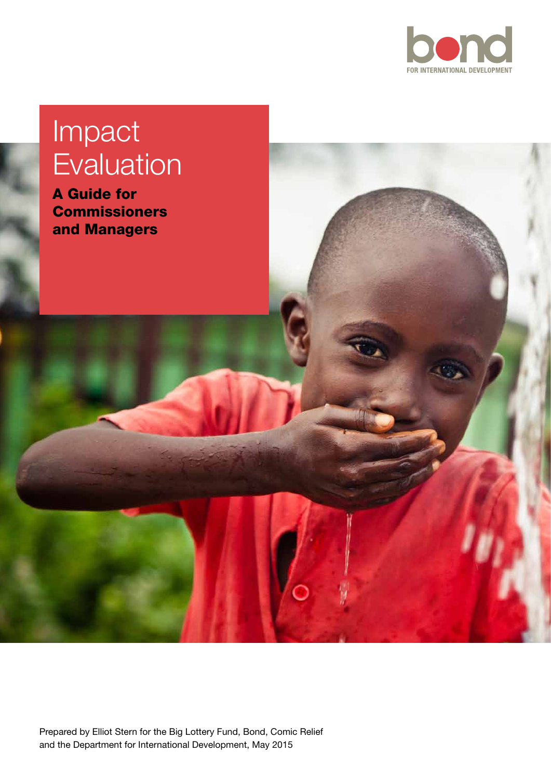

# Impact Evaluation

A Guide for **Commissioners** and Managers

Prepared by Elliot Stern for the Big Lottery Fund, Bond, Comic Relief and the Department for International Development, May 2015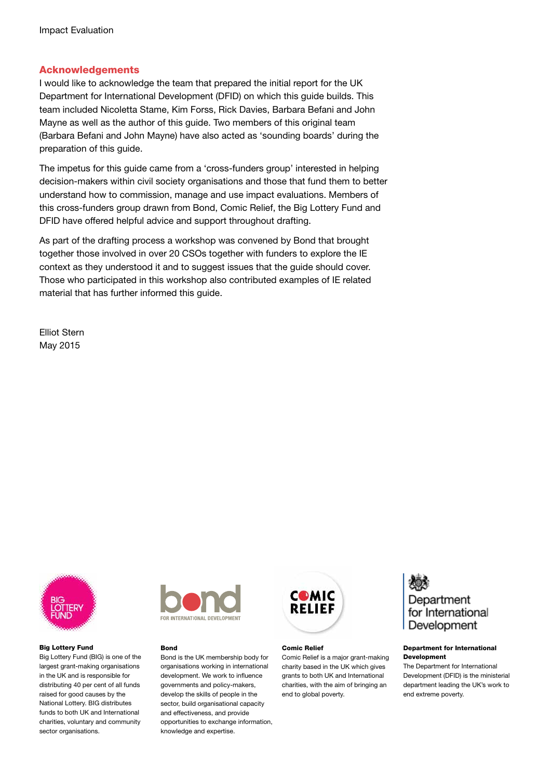#### Acknowledgements

I would like to acknowledge the team that prepared the initial report for the UK Department for International Development (DFID) on which this guide builds. This team included Nicoletta Stame, Kim Forss, Rick Davies, Barbara Befani and John Mayne as well as the author of this guide. Two members of this original team (Barbara Befani and John Mayne) have also acted as 'sounding boards' during the preparation of this guide.

The impetus for this guide came from a 'cross-funders group' interested in helping decision-makers within civil society organisations and those that fund them to better understand how to commission, manage and use impact evaluations. Members of this cross-funders group drawn from Bond, Comic Relief, the Big Lottery Fund and DFID have offered helpful advice and support throughout drafting.

As part of the drafting process a workshop was convened by Bond that brought together those involved in over 20 CSOs together with funders to explore the IE context as they understood it and to suggest issues that the guide should cover. Those who participated in this workshop also contributed examples of IE related material that has further informed this guide.

Elliot Stern May 2015



Big Lottery Fund

Big Lottery Fund (BIG) is one of the largest grant-making organisations in the UK and is responsible for distributing 40 per cent of all funds raised for good causes by the National Lottery. BIG distributes funds to both UK and International charities, voluntary and community sector organisations.



#### Bond

Bond is the UK membership body for organisations working in international development. We work to influence governments and policy-makers, develop the skills of people in the sector, build organisational capacity and effectiveness, and provide opportunities to exchange information, knowledge and expertise.



#### Comic Relief

Comic Relief is a major grant-making charity based in the UK which gives grants to both UK and International charities, with the aim of bringing an end to global poverty.



#### Department for International Development

The Department for International Development (DFID) is the ministerial department leading the UK's work to end extreme poverty.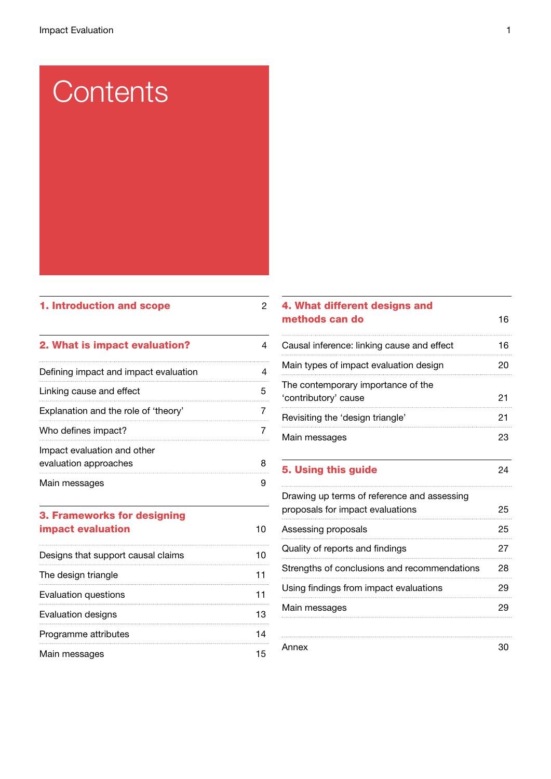# **Contents**

## 1. Introduction and scope 2

| 2. What is impact evaluation?                        |   |
|------------------------------------------------------|---|
| Defining impact and impact evaluation                |   |
| Linking cause and effect                             | 5 |
| Explanation and the role of 'theory'                 |   |
| Who defines impact?                                  |   |
| Impact evaluation and other<br>evaluation approaches | 8 |
| Main messages                                        |   |

# 3. Frameworks for designing impact evaluation and the state of the 10

| Designs that support causal claims |  |
|------------------------------------|--|
| The design triangle                |  |
| Evaluation questions               |  |
| Evaluation designs                 |  |
| Programme attributes               |  |
| Main messages                      |  |

# 4. What different designs and methods can do 16

| 5. Using this guide                                        |    |
|------------------------------------------------------------|----|
| Main messages                                              | 23 |
| Revisiting the 'design triangle'                           | 21 |
| The contemporary importance of the<br>'contributory' cause | 21 |
| Main types of impact evaluation design                     | 20 |
| Causal inference: linking cause and effect                 | 16 |
|                                                            |    |

# Drawing up terms of reference and assessing proposals for impact evaluations 25 Assessing proposals 25 Quality of reports and findings 27 Strengths of conclusions and recommendations 28 Using findings from impact evaluations 29 Main messages 29 Annex 30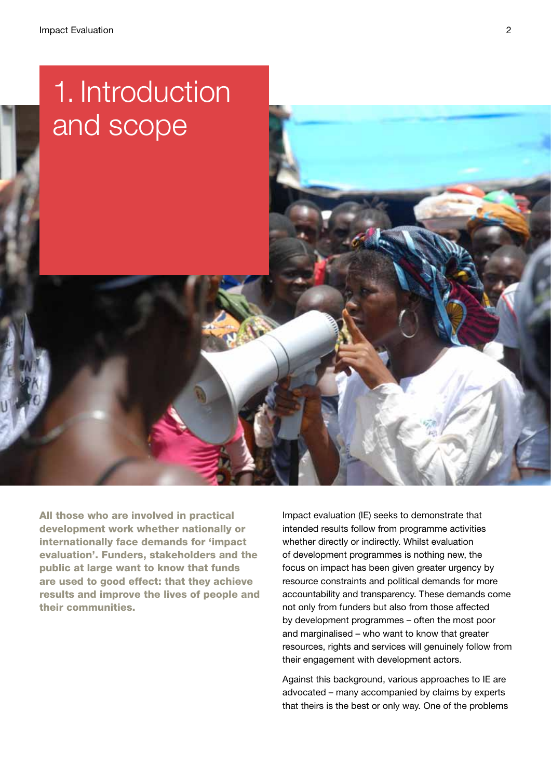

All those who are involved in practical development work whether nationally or internationally face demands for 'impact evaluation'. Funders, stakeholders and the public at large want to know that funds are used to good effect: that they achieve results and improve the lives of people and their communities.

Impact evaluation (IE) seeks to demonstrate that intended results follow from programme activities whether directly or indirectly. Whilst evaluation of development programmes is nothing new, the focus on impact has been given greater urgency by resource constraints and political demands for more accountability and transparency. These demands come not only from funders but also from those affected by development programmes – often the most poor and marginalised – who want to know that greater resources, rights and services will genuinely follow from their engagement with development actors.

Against this background, various approaches to IE are advocated – many accompanied by claims by experts that theirs is the best or only way. One of the problems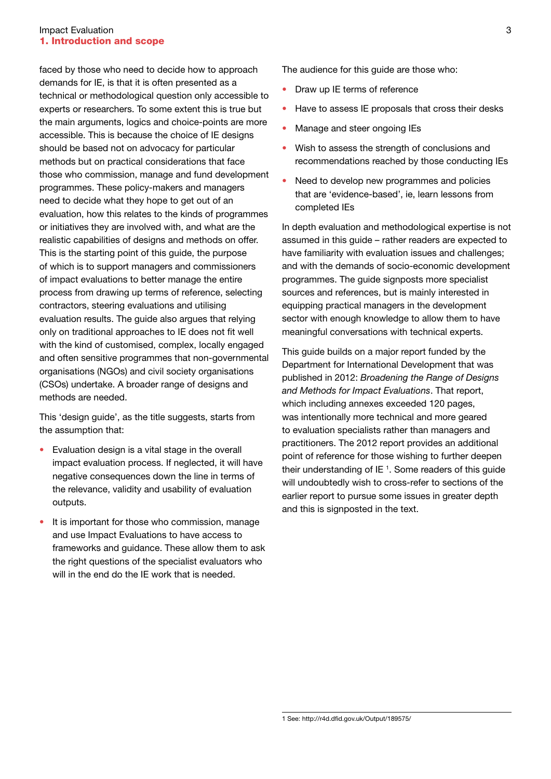#### **Impact Evaluation** 3 1. Introduction and scope

faced by those who need to decide how to approach demands for IE, is that it is often presented as a technical or methodological question only accessible to experts or researchers. To some extent this is true but the main arguments, logics and choice-points are more accessible. This is because the choice of IE designs should be based not on advocacy for particular methods but on practical considerations that face those who commission, manage and fund development programmes. These policy-makers and managers need to decide what they hope to get out of an evaluation, how this relates to the kinds of programmes or initiatives they are involved with, and what are the realistic capabilities of designs and methods on offer. This is the starting point of this guide, the purpose of which is to support managers and commissioners of impact evaluations to better manage the entire process from drawing up terms of reference, selecting contractors, steering evaluations and utilising evaluation results. The guide also argues that relying only on traditional approaches to IE does not fit well with the kind of customised, complex, locally engaged and often sensitive programmes that non-governmental organisations (NGOs) and civil society organisations (CSOs) undertake. A broader range of designs and methods are needed.

This 'design guide', as the title suggests, starts from the assumption that:

- Evaluation design is a vital stage in the overall impact evaluation process. If neglected, it will have negative consequences down the line in terms of the relevance, validity and usability of evaluation outputs.
- It is important for those who commission, manage and use Impact Evaluations to have access to frameworks and guidance. These allow them to ask the right questions of the specialist evaluators who will in the end do the IF work that is needed.

The audience for this guide are those who:

- Draw up IE terms of reference
- Have to assess IE proposals that cross their desks
- Manage and steer ongoing IEs
- Wish to assess the strength of conclusions and recommendations reached by those conducting IEs
- Need to develop new programmes and policies that are 'evidence-based', ie, learn lessons from completed IEs

In depth evaluation and methodological expertise is not assumed in this guide – rather readers are expected to have familiarity with evaluation issues and challenges; and with the demands of socio-economic development programmes. The guide signposts more specialist sources and references, but is mainly interested in equipping practical managers in the development sector with enough knowledge to allow them to have meaningful conversations with technical experts.

This guide builds on a major report funded by the Department for International Development that was published in 2012: *Broadening the Range of Designs and Methods for Impact Evaluations*. That report, which including annexes exceeded 120 pages, was intentionally more technical and more geared to evaluation specialists rather than managers and practitioners. The 2012 report provides an additional point of reference for those wishing to further deepen their understanding of IE $1$ . Some readers of this guide will undoubtedly wish to cross-refer to sections of the earlier report to pursue some issues in greater depth and this is signposted in the text.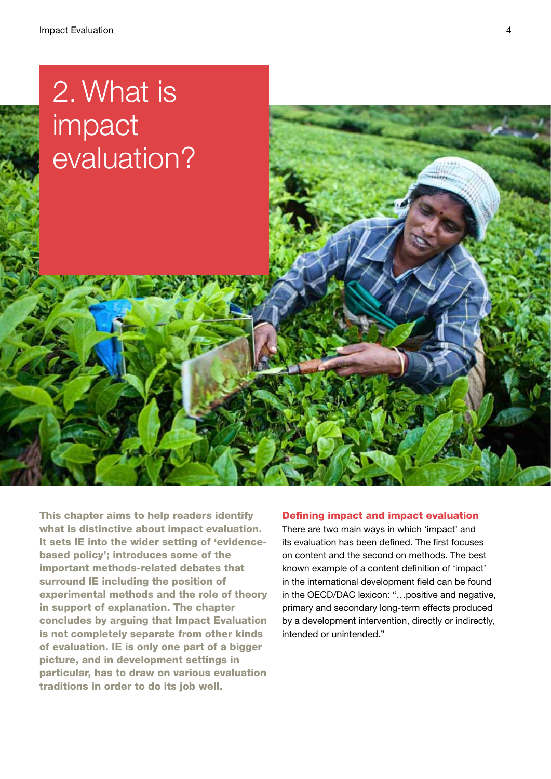# 2. What is impact evaluation?

This chapter aims to help readers identify what is distinctive about impact evaluation. It sets IE into the wider setting of 'evidencebased policy'; introduces some of the important methods-related debates that surround IE including the position of experimental methods and the role of theory in support of explanation. The chapter concludes by arguing that Impact Evaluation is not completely separate from other kinds of evaluation. IE is only one part of a bigger picture, and in development settings in particular, has to draw on various evaluation traditions in order to do its job well.

#### Defining impact and impact evaluation

There are two main ways in which 'impact' and its evaluation has been defined. The first focuses on content and the second on methods. The best known example of a content definition of 'impact' in the international development field can be found in the OECD/DAC lexicon: "…positive and negative, primary and secondary long-term effects produced by a development intervention, directly or indirectly, intended or unintended."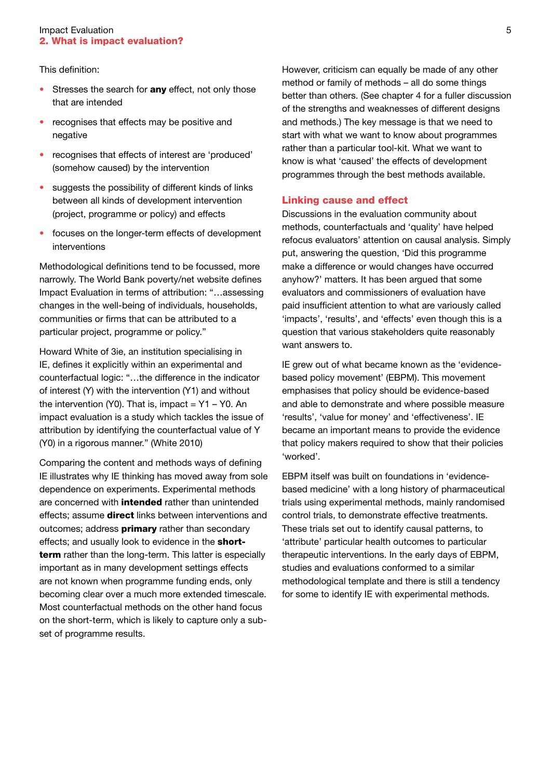#### **Impact Evaluation** 5 2. What is impact evaluation?

This definition:

- Stresses the search for **any** effect, not only those that are intended
- recognises that effects may be positive and negative
- recognises that effects of interest are 'produced' (somehow caused) by the intervention
- suggests the possibility of different kinds of links between all kinds of development intervention (project, programme or policy) and effects
- focuses on the longer-term effects of development interventions

Methodological definitions tend to be focussed, more narrowly. The World Bank poverty/net website defines Impact Evaluation in terms of attribution: "…assessing changes in the well-being of individuals, households, communities or firms that can be attributed to a particular project, programme or policy."

Howard White of 3ie, an institution specialising in IE, defines it explicitly within an experimental and counterfactual logic: "…the difference in the indicator of interest (Y) with the intervention (Y1) and without the intervention (Y0). That is, impact =  $Y1 - Y0$ . An impact evaluation is a study which tackles the issue of attribution by identifying the counterfactual value of Y (Y0) in a rigorous manner." (White 2010)

Comparing the content and methods ways of defining IE illustrates why IE thinking has moved away from sole dependence on experiments. Experimental methods are concerned with **intended** rather than unintended effects; assume **direct** links between interventions and outcomes; address **primary** rather than secondary effects; and usually look to evidence in the **short**term rather than the long-term. This latter is especially important as in many development settings effects are not known when programme funding ends, only becoming clear over a much more extended timescale. Most counterfactual methods on the other hand focus on the short-term, which is likely to capture only a subset of programme results.

However, criticism can equally be made of any other method or family of methods – all do some things better than others. (See chapter 4 for a fuller discussion of the strengths and weaknesses of different designs and methods.) The key message is that we need to start with what we want to know about programmes rather than a particular tool-kit. What we want to know is what 'caused' the effects of development programmes through the best methods available.

#### Linking cause and effect

Discussions in the evaluation community about methods, counterfactuals and 'quality' have helped refocus evaluators' attention on causal analysis. Simply put, answering the question, 'Did this programme make a difference or would changes have occurred anyhow?' matters. It has been argued that some evaluators and commissioners of evaluation have paid insufficient attention to what are variously called 'impacts', 'results', and 'effects' even though this is a question that various stakeholders quite reasonably want answers to.

IE grew out of what became known as the 'evidencebased policy movement' (EBPM). This movement emphasises that policy should be evidence-based and able to demonstrate and where possible measure 'results', 'value for money' and 'effectiveness'. IE became an important means to provide the evidence that policy makers required to show that their policies 'worked'.

EBPM itself was built on foundations in 'evidencebased medicine' with a long history of pharmaceutical trials using experimental methods, mainly randomised control trials, to demonstrate effective treatments. These trials set out to identify causal patterns, to 'attribute' particular health outcomes to particular therapeutic interventions. In the early days of EBPM, studies and evaluations conformed to a similar methodological template and there is still a tendency for some to identify IE with experimental methods.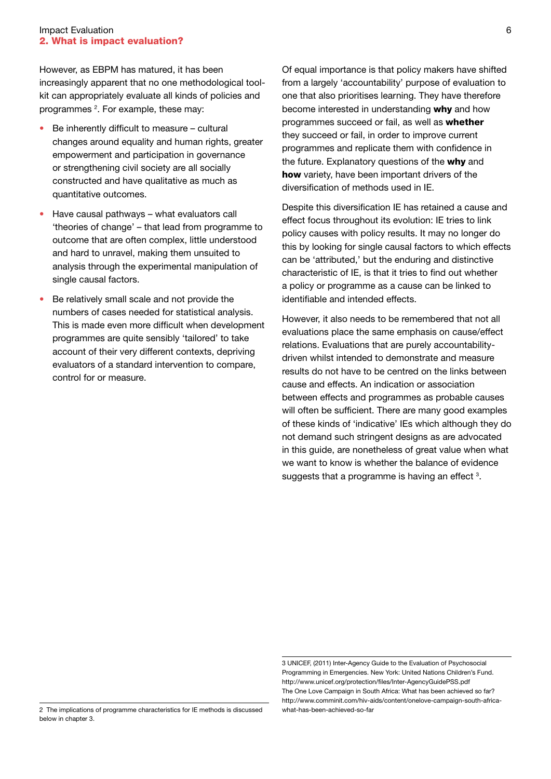However, as EBPM has matured, it has been increasingly apparent that no one methodological toolkit can appropriately evaluate all kinds of policies and programmes <sup>2</sup>. For example, these may:

- Be inherently difficult to measure cultural changes around equality and human rights, greater empowerment and participation in governance or strengthening civil society are all socially constructed and have qualitative as much as quantitative outcomes.
- Have causal pathways what evaluators call 'theories of change' – that lead from programme to outcome that are often complex, little understood and hard to unravel, making them unsuited to analysis through the experimental manipulation of single causal factors.
- Be relatively small scale and not provide the numbers of cases needed for statistical analysis. This is made even more difficult when development programmes are quite sensibly 'tailored' to take account of their very different contexts, depriving evaluators of a standard intervention to compare, control for or measure.

Of equal importance is that policy makers have shifted from a largely 'accountability' purpose of evaluation to one that also prioritises learning. They have therefore become interested in understanding why and how programmes succeed or fail, as well as whether they succeed or fail, in order to improve current programmes and replicate them with confidence in the future. Explanatory questions of the why and how variety, have been important drivers of the diversification of methods used in IE.

Despite this diversification IE has retained a cause and effect focus throughout its evolution: IE tries to link policy causes with policy results. It may no longer do this by looking for single causal factors to which effects can be 'attributed,' but the enduring and distinctive characteristic of IE, is that it tries to find out whether a policy or programme as a cause can be linked to identifiable and intended effects.

However, it also needs to be remembered that not all evaluations place the same emphasis on cause/effect relations. Evaluations that are purely accountabilitydriven whilst intended to demonstrate and measure results do not have to be centred on the links between cause and effects. An indication or association between effects and programmes as probable causes will often be sufficient. There are many good examples of these kinds of 'indicative' IEs which although they do not demand such stringent designs as are advocated in this guide, are nonetheless of great value when what we want to know is whether the balance of evidence suggests that a programme is having an effect  $3$ .

<sup>3</sup> UNICEF, (2011) Inter-Agency Guide to the Evaluation of Psychosocial Programming in Emergencies. New York: United Nations Children's Fund. http://www.unicef.org/protection/files/Inter-AgencyGuidePSS.pdf The One Love Campaign in South Africa: What has been achieved so far? http://www.comminit.com/hiv-aids/content/onelove-campaign-south-africawhat-has-been-achieved-so-far

<sup>2</sup> The implications of programme characteristics for IE methods is discussed below in chapter 3.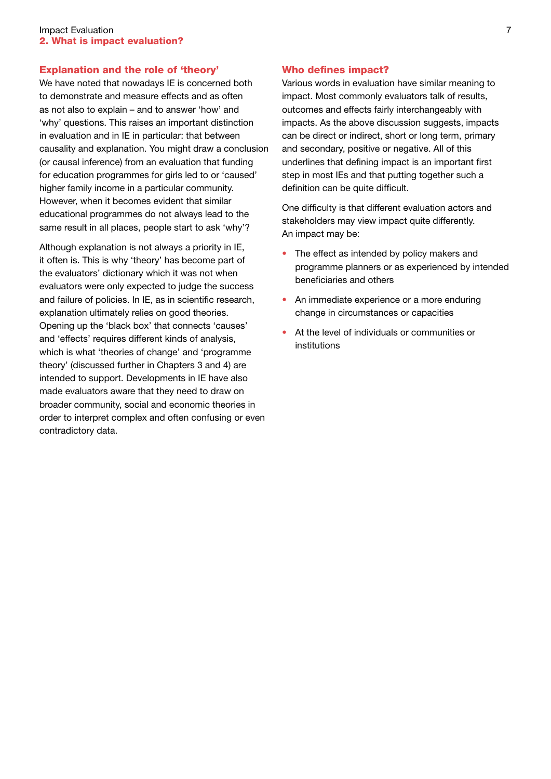### Explanation and the role of 'theory'

We have noted that nowadays IE is concerned both to demonstrate and measure effects and as often as not also to explain – and to answer 'how' and 'why' questions. This raises an important distinction in evaluation and in IE in particular: that between causality and explanation. You might draw a conclusion (or causal inference) from an evaluation that funding for education programmes for girls led to or 'caused' higher family income in a particular community. However, when it becomes evident that similar educational programmes do not always lead to the same result in all places, people start to ask 'why'?

Although explanation is not always a priority in IE, it often is. This is why 'theory' has become part of the evaluators' dictionary which it was not when evaluators were only expected to judge the success and failure of policies. In IE, as in scientific research, explanation ultimately relies on good theories. Opening up the 'black box' that connects 'causes' and 'effects' requires different kinds of analysis, which is what 'theories of change' and 'programme theory' (discussed further in Chapters 3 and 4) are intended to support. Developments in IE have also made evaluators aware that they need to draw on broader community, social and economic theories in order to interpret complex and often confusing or even contradictory data.

#### Who defines impact?

Various words in evaluation have similar meaning to impact. Most commonly evaluators talk of results, outcomes and effects fairly interchangeably with impacts. As the above discussion suggests, impacts can be direct or indirect, short or long term, primary and secondary, positive or negative. All of this underlines that defining impact is an important first step in most IEs and that putting together such a definition can be quite difficult.

One difficulty is that different evaluation actors and stakeholders may view impact quite differently. An impact may be:

- The effect as intended by policy makers and programme planners or as experienced by intended beneficiaries and others
- An immediate experience or a more enduring change in circumstances or capacities
- At the level of individuals or communities or institutions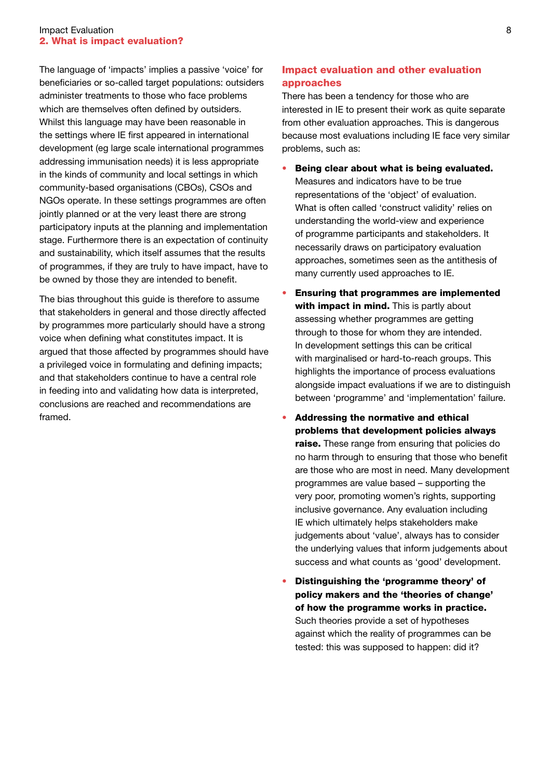#### **Impact Evaluation** 8 2. What is impact evaluation?

The language of 'impacts' implies a passive 'voice' for beneficiaries or so-called target populations: outsiders administer treatments to those who face problems which are themselves often defined by outsiders. Whilst this language may have been reasonable in the settings where IE first appeared in international development (eg large scale international programmes addressing immunisation needs) it is less appropriate in the kinds of community and local settings in which community-based organisations (CBOs), CSOs and NGOs operate. In these settings programmes are often jointly planned or at the very least there are strong participatory inputs at the planning and implementation stage. Furthermore there is an expectation of continuity and sustainability, which itself assumes that the results of programmes, if they are truly to have impact, have to be owned by those they are intended to benefit.

The bias throughout this guide is therefore to assume that stakeholders in general and those directly affected by programmes more particularly should have a strong voice when defining what constitutes impact. It is argued that those affected by programmes should have a privileged voice in formulating and defining impacts; and that stakeholders continue to have a central role in feeding into and validating how data is interpreted, conclusions are reached and recommendations are framed.

# Impact evaluation and other evaluation approaches

There has been a tendency for those who are interested in IE to present their work as quite separate from other evaluation approaches. This is dangerous because most evaluations including IE face very similar problems, such as:

- Being clear about what is being evaluated. Measures and indicators have to be true representations of the 'object' of evaluation. What is often called 'construct validity' relies on understanding the world-view and experience of programme participants and stakeholders. It necessarily draws on participatory evaluation approaches, sometimes seen as the antithesis of many currently used approaches to IE.
- Ensuring that programmes are implemented with impact in mind. This is partly about assessing whether programmes are getting through to those for whom they are intended. In development settings this can be critical with marginalised or hard-to-reach groups. This highlights the importance of process evaluations alongside impact evaluations if we are to distinguish between 'programme' and 'implementation' failure.
- Addressing the normative and ethical problems that development policies always raise. These range from ensuring that policies do no harm through to ensuring that those who benefit are those who are most in need. Many development programmes are value based – supporting the very poor, promoting women's rights, supporting inclusive governance. Any evaluation including IE which ultimately helps stakeholders make judgements about 'value', always has to consider the underlying values that inform judgements about success and what counts as 'good' development.
- Distinguishing the 'programme theory' of policy makers and the 'theories of change' of how the programme works in practice. Such theories provide a set of hypotheses against which the reality of programmes can be tested: this was supposed to happen: did it?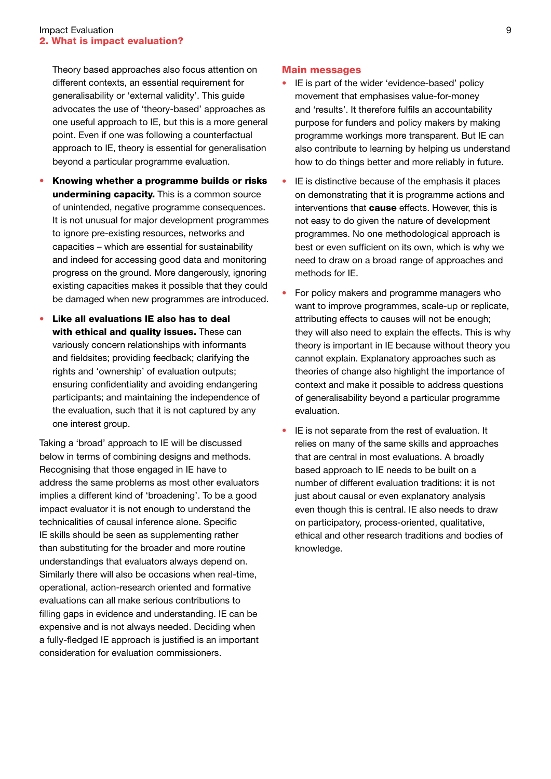Theory based approaches also focus attention on different contexts, an essential requirement for generalisability or 'external validity'. This guide advocates the use of 'theory-based' approaches as one useful approach to IE, but this is a more general point. Even if one was following a counterfactual approach to IE, theory is essential for generalisation beyond a particular programme evaluation.

- Knowing whether a programme builds or risks undermining capacity. This is a common source of unintended, negative programme consequences. It is not unusual for major development programmes to ignore pre-existing resources, networks and capacities – which are essential for sustainability and indeed for accessing good data and monitoring progress on the ground. More dangerously, ignoring existing capacities makes it possible that they could be damaged when new programmes are introduced.
- • Like all evaluations IE also has to deal with ethical and quality issues. These can variously concern relationships with informants and fieldsites; providing feedback; clarifying the rights and 'ownership' of evaluation outputs; ensuring confidentiality and avoiding endangering participants; and maintaining the independence of the evaluation, such that it is not captured by any one interest group.

Taking a 'broad' approach to IE will be discussed below in terms of combining designs and methods. Recognising that those engaged in IE have to address the same problems as most other evaluators implies a different kind of 'broadening'. To be a good impact evaluator it is not enough to understand the technicalities of causal inference alone. Specific IE skills should be seen as supplementing rather than substituting for the broader and more routine understandings that evaluators always depend on. Similarly there will also be occasions when real-time, operational, action-research oriented and formative evaluations can all make serious contributions to filling gaps in evidence and understanding. IE can be expensive and is not always needed. Deciding when a fully-fledged IE approach is justified is an important consideration for evaluation commissioners.

#### Main messages

- IE is part of the wider 'evidence-based' policy movement that emphasises value-for-money and 'results'. It therefore fulfils an accountability purpose for funders and policy makers by making programme workings more transparent. But IE can also contribute to learning by helping us understand how to do things better and more reliably in future.
- IE is distinctive because of the emphasis it places on demonstrating that it is programme actions and interventions that **cause** effects. However, this is not easy to do given the nature of development programmes. No one methodological approach is best or even sufficient on its own, which is why we need to draw on a broad range of approaches and methods for IF
- For policy makers and programme managers who want to improve programmes, scale-up or replicate, attributing effects to causes will not be enough; they will also need to explain the effects. This is why theory is important in IE because without theory you cannot explain. Explanatory approaches such as theories of change also highlight the importance of context and make it possible to address questions of generalisability beyond a particular programme evaluation.
- IE is not separate from the rest of evaluation. It relies on many of the same skills and approaches that are central in most evaluations. A broadly based approach to IE needs to be built on a number of different evaluation traditions: it is not just about causal or even explanatory analysis even though this is central. IE also needs to draw on participatory, process-oriented, qualitative, ethical and other research traditions and bodies of knowledge.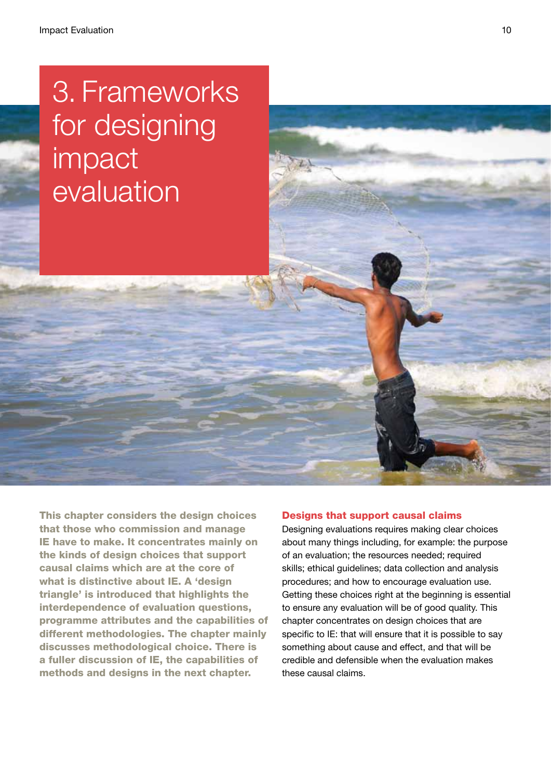# 3. Frameworks for designing impact evaluation

This chapter considers the design choices that those who commission and manage IE have to make. It concentrates mainly on the kinds of design choices that support causal claims which are at the core of what is distinctive about IE. A 'design triangle' is introduced that highlights the interdependence of evaluation questions, programme attributes and the capabilities of different methodologies. The chapter mainly discusses methodological choice. There is a fuller discussion of IE, the capabilities of methods and designs in the next chapter.

### Designs that support causal claims

Designing evaluations requires making clear choices about many things including, for example: the purpose of an evaluation; the resources needed; required skills; ethical guidelines; data collection and analysis procedures; and how to encourage evaluation use. Getting these choices right at the beginning is essential to ensure any evaluation will be of good quality. This chapter concentrates on design choices that are specific to IE: that will ensure that it is possible to say something about cause and effect, and that will be credible and defensible when the evaluation makes these causal claims.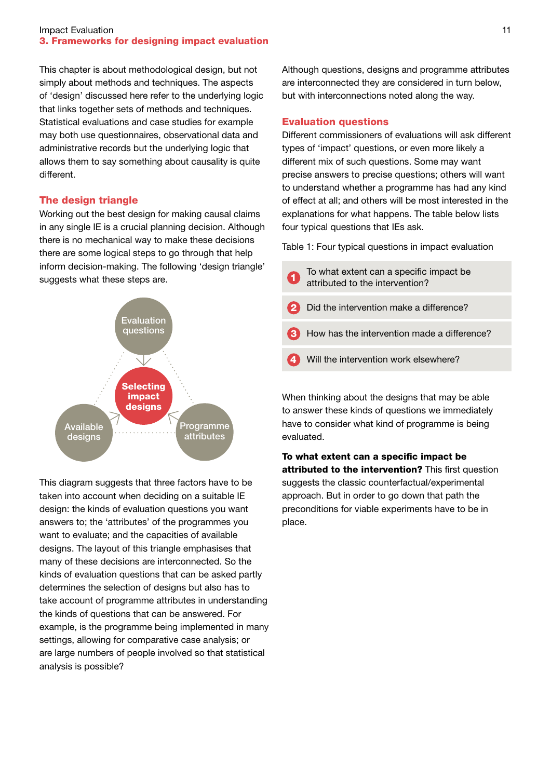#### Impact Evaluation 3. Frameworks for designing impact evaluation

This chapter is about methodological design, but not simply about methods and techniques. The aspects of 'design' discussed here refer to the underlying logic that links together sets of methods and techniques. Statistical evaluations and case studies for example may both use questionnaires, observational data and administrative records but the underlying logic that allows them to say something about causality is quite different.

## The design triangle

Working out the best design for making causal claims in any single IE is a crucial planning decision. Although there is no mechanical way to make these decisions there are some logical steps to go through that help inform decision-making. The following 'design triangle' suggests what these steps are.



This diagram suggests that three factors have to be taken into account when deciding on a suitable IE design: the kinds of evaluation questions you want answers to; the 'attributes' of the programmes you want to evaluate; and the capacities of available designs. The layout of this triangle emphasises that many of these decisions are interconnected. So the kinds of evaluation questions that can be asked partly determines the selection of designs but also has to take account of programme attributes in understanding the kinds of questions that can be answered. For example, is the programme being implemented in many settings, allowing for comparative case analysis; or are large numbers of people involved so that statistical analysis is possible?

Although questions, designs and programme attributes are interconnected they are considered in turn below, but with interconnections noted along the way.

# Evaluation questions

Different commissioners of evaluations will ask different types of 'impact' questions, or even more likely a different mix of such questions. Some may want precise answers to precise questions; others will want to understand whether a programme has had any kind of effect at all; and others will be most interested in the explanations for what happens. The table below lists four typical questions that IEs ask.

Table 1: Four typical questions in impact evaluation

- To what extent can a specific impact be **a** attributed to the intervention?
- Did the intervention make a difference?
- How has the intervention made a difference?
- Will the intervention work elsewhere?

When thinking about the designs that may be able to answer these kinds of questions we immediately have to consider what kind of programme is being evaluated.

To what extent can a specific impact be attributed to the intervention? This first question suggests the classic counterfactual/experimental approach. But in order to go down that path the preconditions for viable experiments have to be in place.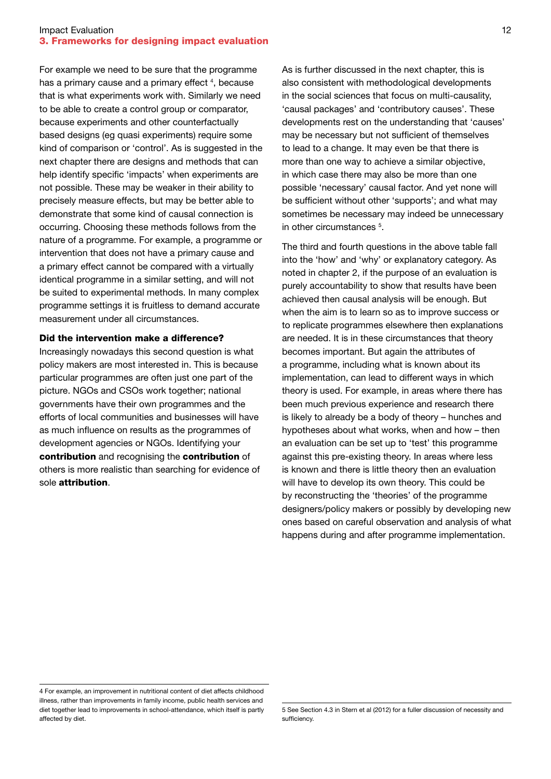#### **Impact Evaluation** 12 3. Frameworks for designing impact evaluation

For example we need to be sure that the programme has a primary cause and a primary effect<sup>4</sup>, because that is what experiments work with. Similarly we need to be able to create a control group or comparator, because experiments and other counterfactually based designs (eg quasi experiments) require some kind of comparison or 'control'. As is suggested in the next chapter there are designs and methods that can help identify specific 'impacts' when experiments are not possible. These may be weaker in their ability to precisely measure effects, but may be better able to demonstrate that some kind of causal connection is occurring. Choosing these methods follows from the nature of a programme. For example, a programme or intervention that does not have a primary cause and a primary effect cannot be compared with a virtually identical programme in a similar setting, and will not be suited to experimental methods. In many complex programme settings it is fruitless to demand accurate measurement under all circumstances.

#### Did the intervention make a difference?

Increasingly nowadays this second question is what policy makers are most interested in. This is because particular programmes are often just one part of the picture. NGOs and CSOs work together; national governments have their own programmes and the efforts of local communities and businesses will have as much influence on results as the programmes of development agencies or NGOs. Identifying your contribution and recognising the contribution of others is more realistic than searching for evidence of sole **attribution** 

As is further discussed in the next chapter, this is also consistent with methodological developments in the social sciences that focus on multi-causality, 'causal packages' and 'contributory causes'. These developments rest on the understanding that 'causes' may be necessary but not sufficient of themselves to lead to a change. It may even be that there is more than one way to achieve a similar objective, in which case there may also be more than one possible 'necessary' causal factor. And yet none will be sufficient without other 'supports'; and what may sometimes be necessary may indeed be unnecessary in other circumstances<sup>5</sup>.

The third and fourth questions in the above table fall into the 'how' and 'why' or explanatory category. As noted in chapter 2, if the purpose of an evaluation is purely accountability to show that results have been achieved then causal analysis will be enough. But when the aim is to learn so as to improve success or to replicate programmes elsewhere then explanations are needed. It is in these circumstances that theory becomes important. But again the attributes of a programme, including what is known about its implementation, can lead to different ways in which theory is used. For example, in areas where there has been much previous experience and research there is likely to already be a body of theory – hunches and hypotheses about what works, when and how – then an evaluation can be set up to 'test' this programme against this pre-existing theory. In areas where less is known and there is little theory then an evaluation will have to develop its own theory. This could be by reconstructing the 'theories' of the programme designers/policy makers or possibly by developing new ones based on careful observation and analysis of what happens during and after programme implementation.

<sup>4</sup> For example, an improvement in nutritional content of diet affects childhood illness, rather than improvements in family income, public health services and diet together lead to improvements in school-attendance, which itself is partly affected by diet.

<sup>5</sup> See Section 4.3 in Stern et al (2012) for a fuller discussion of necessity and sufficiency.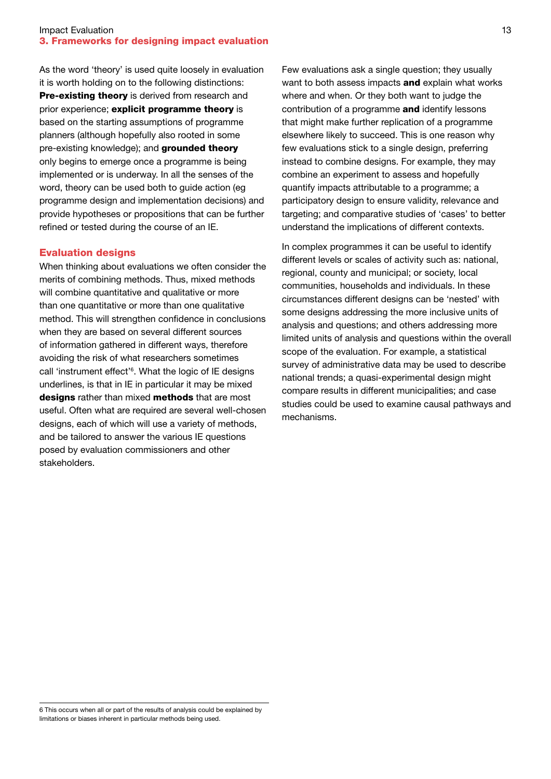#### **Impact Evaluation** 13 3. Frameworks for designing impact evaluation

As the word 'theory' is used quite loosely in evaluation it is worth holding on to the following distinctions: Pre-existing theory is derived from research and prior experience; explicit programme theory is based on the starting assumptions of programme planners (although hopefully also rooted in some pre-existing knowledge); and grounded theory only begins to emerge once a programme is being implemented or is underway. In all the senses of the word, theory can be used both to guide action (eg programme design and implementation decisions) and provide hypotheses or propositions that can be further refined or tested during the course of an IE.

#### Evaluation designs

When thinking about evaluations we often consider the merits of combining methods. Thus, mixed methods will combine quantitative and qualitative or more than one quantitative or more than one qualitative method. This will strengthen confidence in conclusions when they are based on several different sources of information gathered in different ways, therefore avoiding the risk of what researchers sometimes call 'instrument effect'6 . What the logic of IE designs underlines, is that in IE in particular it may be mixed designs rather than mixed methods that are most useful. Often what are required are several well-chosen designs, each of which will use a variety of methods, and be tailored to answer the various IE questions posed by evaluation commissioners and other stakeholders.

Few evaluations ask a single question; they usually want to both assess impacts **and** explain what works where and when. Or they both want to judge the contribution of a programme and identify lessons that might make further replication of a programme elsewhere likely to succeed. This is one reason why few evaluations stick to a single design, preferring instead to combine designs. For example, they may combine an experiment to assess and hopefully quantify impacts attributable to a programme; a participatory design to ensure validity, relevance and targeting; and comparative studies of 'cases' to better understand the implications of different contexts.

In complex programmes it can be useful to identify different levels or scales of activity such as: national, regional, county and municipal; or society, local communities, households and individuals. In these circumstances different designs can be 'nested' with some designs addressing the more inclusive units of analysis and questions; and others addressing more limited units of analysis and questions within the overall scope of the evaluation. For example, a statistical survey of administrative data may be used to describe national trends; a quasi-experimental design might compare results in different municipalities; and case studies could be used to examine causal pathways and mechanisms.

6 This occurs when all or part of the results of analysis could be explained by limitations or biases inherent in particular methods being used.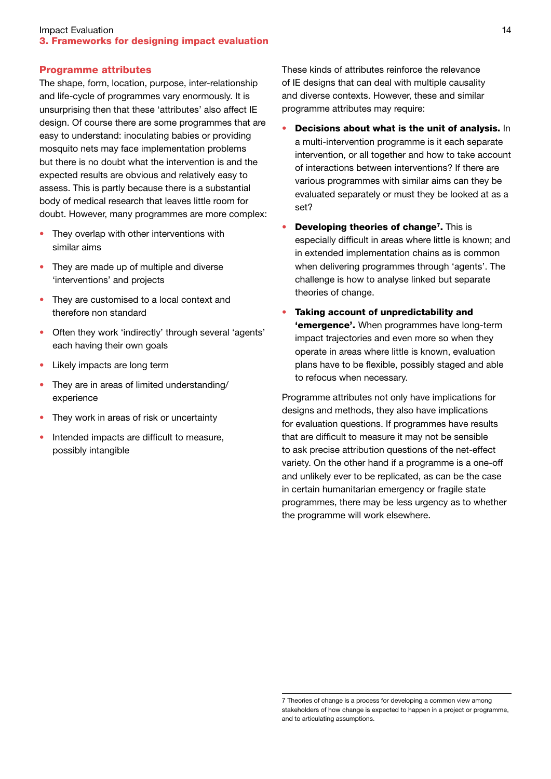#### Programme attributes

The shape, form, location, purpose, inter-relationship and life-cycle of programmes vary enormously. It is unsurprising then that these 'attributes' also affect IE design. Of course there are some programmes that are easy to understand: inoculating babies or providing mosquito nets may face implementation problems but there is no doubt what the intervention is and the expected results are obvious and relatively easy to assess. This is partly because there is a substantial body of medical research that leaves little room for doubt. However, many programmes are more complex:

- They overlap with other interventions with similar aims
- They are made up of multiple and diverse 'interventions' and projects
- They are customised to a local context and therefore non standard
- Often they work 'indirectly' through several 'agents' each having their own goals
- Likely impacts are long term
- They are in areas of limited understanding/ experience
- They work in areas of risk or uncertainty
- Intended impacts are difficult to measure, possibly intangible

These kinds of attributes reinforce the relevance of IE designs that can deal with multiple causality and diverse contexts. However, these and similar programme attributes may require:

- Decisions about what is the unit of analysis. In a multi-intervention programme is it each separate intervention, or all together and how to take account of interactions between interventions? If there are various programmes with similar aims can they be evaluated separately or must they be looked at as a set?
- Developing theories of change<sup>7</sup>. This is especially difficult in areas where little is known; and in extended implementation chains as is common when delivering programmes through 'agents'. The challenge is how to analyse linked but separate theories of change.
- • Taking account of unpredictability and **'emergence'.** When programmes have long-term impact trajectories and even more so when they operate in areas where little is known, evaluation plans have to be flexible, possibly staged and able to refocus when necessary.

Programme attributes not only have implications for designs and methods, they also have implications for evaluation questions. If programmes have results that are difficult to measure it may not be sensible to ask precise attribution questions of the net-effect variety. On the other hand if a programme is a one-off and unlikely ever to be replicated, as can be the case in certain humanitarian emergency or fragile state programmes, there may be less urgency as to whether the programme will work elsewhere.

<sup>7</sup> Theories of change is a process for developing a common view among stakeholders of how change is expected to happen in a project or programme, and to articulating assumptions.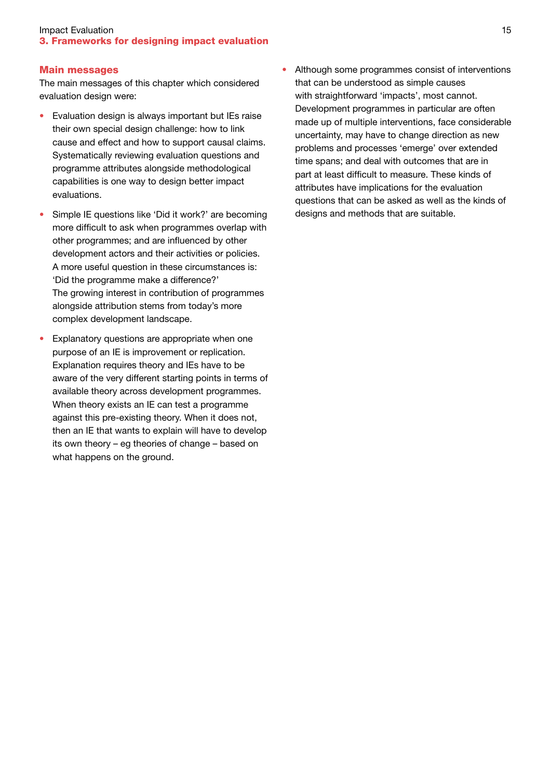#### **Impact Evaluation** 15 3. Frameworks for designing impact evaluation

#### Main messages

The main messages of this chapter which considered evaluation design were:

- Evaluation design is always important but IEs raise their own special design challenge: how to link cause and effect and how to support causal claims. Systematically reviewing evaluation questions and programme attributes alongside methodological capabilities is one way to design better impact evaluations.
- Simple IE questions like 'Did it work?' are becoming more difficult to ask when programmes overlap with other programmes; and are influenced by other development actors and their activities or policies. A more useful question in these circumstances is: 'Did the programme make a difference?' The growing interest in contribution of programmes alongside attribution stems from today's more complex development landscape.
- Explanatory questions are appropriate when one purpose of an IE is improvement or replication. Explanation requires theory and IEs have to be aware of the very different starting points in terms of available theory across development programmes. When theory exists an IE can test a programme against this pre-existing theory. When it does not, then an IE that wants to explain will have to develop its own theory – eg theories of change – based on what happens on the ground.

• Although some programmes consist of interventions that can be understood as simple causes with straightforward 'impacts', most cannot. Development programmes in particular are often made up of multiple interventions, face considerable uncertainty, may have to change direction as new problems and processes 'emerge' over extended time spans; and deal with outcomes that are in part at least difficult to measure. These kinds of attributes have implications for the evaluation questions that can be asked as well as the kinds of designs and methods that are suitable.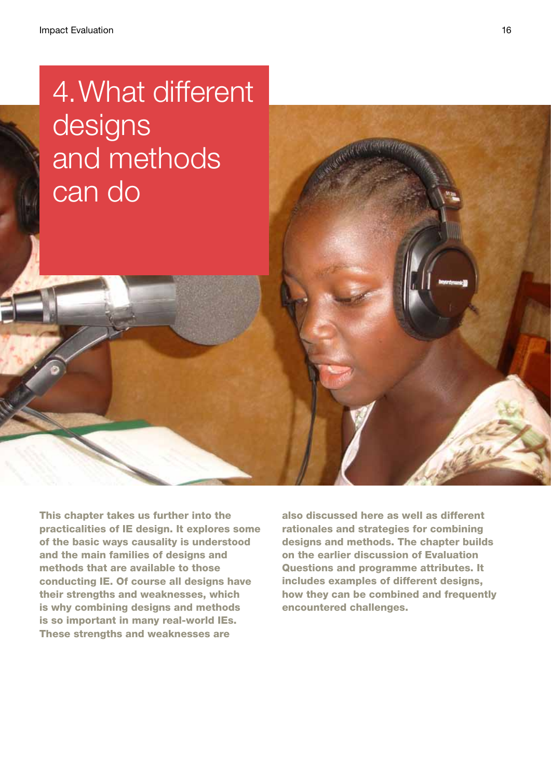# 4. What different designs and methods can do

This chapter takes us further into the practicalities of IE design. It explores some of the basic ways causality is understood and the main families of designs and methods that are available to those conducting IE. Of course all designs have their strengths and weaknesses, which is why combining designs and methods is so important in many real-world IEs. These strengths and weaknesses are

also discussed here as well as different rationales and strategies for combining designs and methods. The chapter builds on the earlier discussion of Evaluation Questions and programme attributes. It includes examples of different designs, how they can be combined and frequently encountered challenges.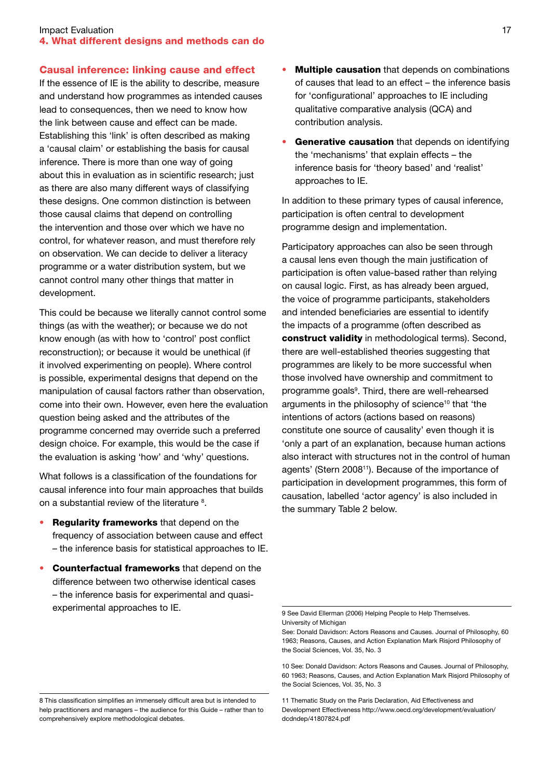#### **Impact Evaluation** 17 4. What different designs and methods can do

#### Causal inference: linking cause and effect

If the essence of IE is the ability to describe, measure and understand how programmes as intended causes lead to consequences, then we need to know how the link between cause and effect can be made. Establishing this 'link' is often described as making a 'causal claim' or establishing the basis for causal inference. There is more than one way of going about this in evaluation as in scientific research; just as there are also many different ways of classifying these designs. One common distinction is between those causal claims that depend on controlling the intervention and those over which we have no control, for whatever reason, and must therefore rely on observation. We can decide to deliver a literacy programme or a water distribution system, but we cannot control many other things that matter in development.

This could be because we literally cannot control some things (as with the weather); or because we do not know enough (as with how to 'control' post conflict reconstruction); or because it would be unethical (if it involved experimenting on people). Where control is possible, experimental designs that depend on the manipulation of causal factors rather than observation, come into their own. However, even here the evaluation question being asked and the attributes of the programme concerned may override such a preferred design choice. For example, this would be the case if the evaluation is asking 'how' and 'why' questions.

What follows is a classification of the foundations for causal inference into four main approaches that builds on a substantial review of the literature <sup>8</sup>.

- **Regularity frameworks** that depend on the frequency of association between cause and effect – the inference basis for statistical approaches to IE.
- **Counterfactual frameworks** that depend on the difference between two otherwise identical cases – the inference basis for experimental and quasiexperimental approaches to IE.
- Multiple causation that depends on combinations of causes that lead to an effect – the inference basis for 'configurational' approaches to IE including qualitative comparative analysis (QCA) and contribution analysis.
- Generative causation that depends on identifying the 'mechanisms' that explain effects – the inference basis for 'theory based' and 'realist' approaches to IE.

In addition to these primary types of causal inference, participation is often central to development programme design and implementation.

Participatory approaches can also be seen through a causal lens even though the main justification of participation is often value-based rather than relying on causal logic. First, as has already been argued, the voice of programme participants, stakeholders and intended beneficiaries are essential to identify the impacts of a programme (often described as construct validity in methodological terms). Second, there are well-established theories suggesting that programmes are likely to be more successful when those involved have ownership and commitment to programme goals<sup>9</sup>. Third, there are well-rehearsed arguments in the philosophy of science<sup>10</sup> that 'the intentions of actors (actions based on reasons) constitute one source of causality' even though it is 'only a part of an explanation, because human actions also interact with structures not in the control of human agents' (Stern 2008<sup>11</sup>). Because of the importance of participation in development programmes, this form of causation, labelled 'actor agency' is also included in the summary Table 2 below.

11 Thematic Study on the Paris Declaration, Aid Effectiveness and Development Effectiveness http://www.oecd.org/development/evaluation/ dcdndep/41807824.pdf

<sup>9</sup> See David Ellerman (2006) Helping People to Help Themselves. University of Michigan

See: Donald Davidson: Actors Reasons and Causes. Journal of Philosophy, 60 1963; Reasons, Causes, and Action Explanation Mark Risjord Philosophy of the Social Sciences, Vol. 35, No. 3

<sup>10</sup> See: Donald Davidson: Actors Reasons and Causes. Journal of Philosophy, 60 1963; Reasons, Causes, and Action Explanation Mark Risjord Philosophy of the Social Sciences, Vol. 35, No. 3

<sup>8</sup> This classification simplifies an immensely difficult area but is intended to help practitioners and managers – the audience for this Guide – rather than to comprehensively explore methodological debates.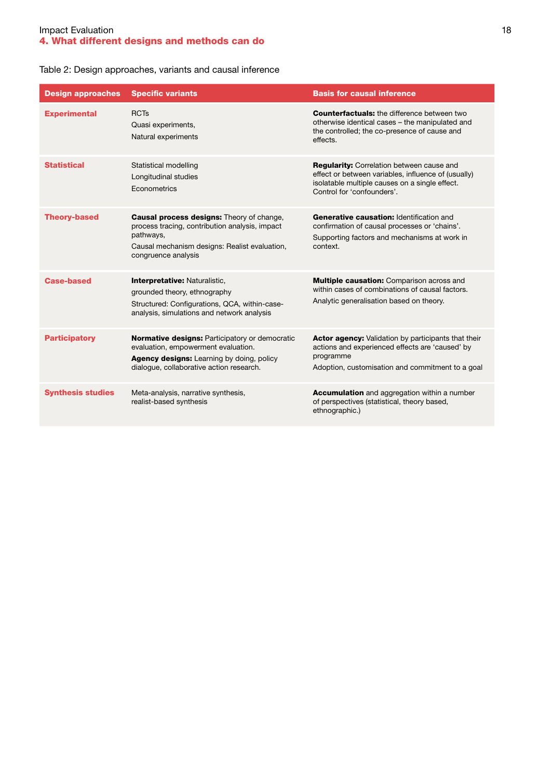## **Impact Evaluation** 18 4. What different designs and methods can do

# Table 2: Design approaches, variants and causal inference

| <b>Design approaches</b> | <b>Specific variants</b>                                                                                                                                                                | <b>Basis for causal inference</b>                                                                                                                                                       |
|--------------------------|-----------------------------------------------------------------------------------------------------------------------------------------------------------------------------------------|-----------------------------------------------------------------------------------------------------------------------------------------------------------------------------------------|
| <b>Experimental</b>      | <b>RCTs</b><br>Quasi experiments,<br>Natural experiments                                                                                                                                | <b>Counterfactuals:</b> the difference between two<br>otherwise identical cases - the manipulated and<br>the controlled; the co-presence of cause and<br>effects.                       |
| <b>Statistical</b>       | Statistical modelling<br>Longitudinal studies<br>Econometrics                                                                                                                           | <b>Regularity:</b> Correlation between cause and<br>effect or between variables, influence of (usually)<br>isolatable multiple causes on a single effect.<br>Control for 'confounders'. |
| <b>Theory-based</b>      | <b>Causal process designs:</b> Theory of change,<br>process tracing, contribution analysis, impact<br>pathways,<br>Causal mechanism designs: Realist evaluation,<br>congruence analysis | Generative causation: Identification and<br>confirmation of causal processes or 'chains'.<br>Supporting factors and mechanisms at work in<br>context.                                   |
| <b>Case-based</b>        | <b>Interpretative: Naturalistic,</b><br>grounded theory, ethnography<br>Structured: Configurations, QCA, within-case-<br>analysis, simulations and network analysis                     | <b>Multiple causation:</b> Comparison across and<br>within cases of combinations of causal factors.<br>Analytic generalisation based on theory.                                         |
| <b>Participatory</b>     | <b>Normative designs: Participatory or democratic</b><br>evaluation, empowerment evaluation.<br>Agency designs: Learning by doing, policy<br>dialogue, collaborative action research.   | <b>Actor agency:</b> Validation by participants that their<br>actions and experienced effects are 'caused' by<br>programme<br>Adoption, customisation and commitment to a goal          |
| <b>Synthesis studies</b> | Meta-analysis, narrative synthesis,<br>realist-based synthesis                                                                                                                          | Accumulation and aggregation within a number<br>of perspectives (statistical, theory based,<br>ethnographic.)                                                                           |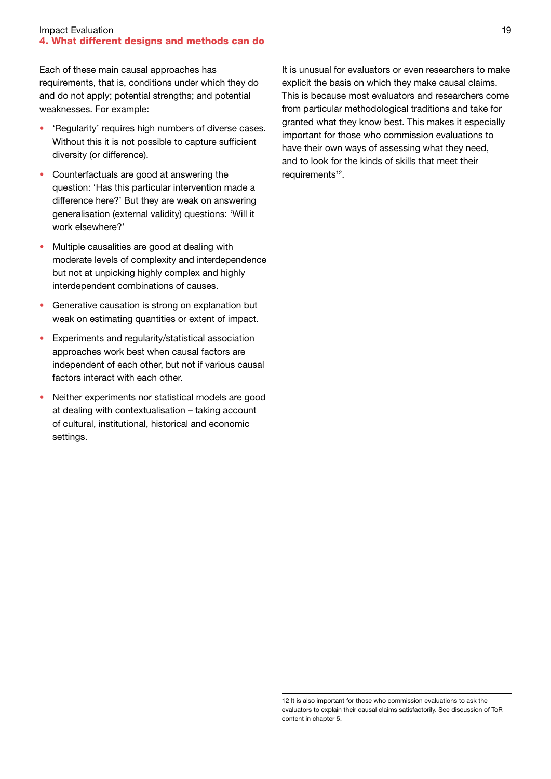#### **Impact Evaluation** 19 4. What different designs and methods can do

Each of these main causal approaches has requirements, that is, conditions under which they do and do not apply; potential strengths; and potential weaknesses. For example:

- 'Regularity' requires high numbers of diverse cases. Without this it is not possible to capture sufficient diversity (or difference).
- Counterfactuals are good at answering the question: 'Has this particular intervention made a difference here?' But they are weak on answering generalisation (external validity) questions: 'Will it work elsewhere?'
- Multiple causalities are good at dealing with moderate levels of complexity and interdependence but not at unpicking highly complex and highly interdependent combinations of causes.
- Generative causation is strong on explanation but weak on estimating quantities or extent of impact.
- • Experiments and regularity/statistical association approaches work best when causal factors are independent of each other, but not if various causal factors interact with each other.
- Neither experiments nor statistical models are good at dealing with contextualisation – taking account of cultural, institutional, historical and economic settings.

It is unusual for evaluators or even researchers to make explicit the basis on which they make causal claims. This is because most evaluators and researchers come from particular methodological traditions and take for granted what they know best. This makes it especially important for those who commission evaluations to have their own ways of assessing what they need, and to look for the kinds of skills that meet their requirements<sup>12</sup>.

<sup>12</sup> It is also important for those who commission evaluations to ask the evaluators to explain their causal claims satisfactorily. See discussion of ToR content in chapter 5.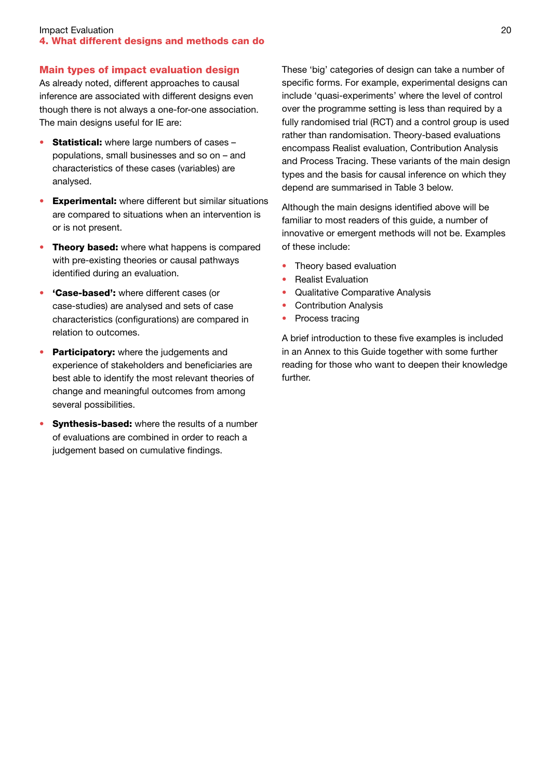#### **Impact Evaluation** 20 4. What different designs and methods can do

## Main types of impact evaluation design

As already noted, different approaches to causal inference are associated with different designs even though there is not always a one-for-one association. The main designs useful for IE are:

- **Statistical:** where large numbers of cases populations, small businesses and so on – and characteristics of these cases (variables) are analysed.
- Experimental: where different but similar situations are compared to situations when an intervention is or is not present.
- Theory based: where what happens is compared with pre-existing theories or causal pathways identified during an evaluation.
- 'Case-based': where different cases (or case-studies) are analysed and sets of case characteristics (configurations) are compared in relation to outcomes.
- Participatory: where the judgements and experience of stakeholders and beneficiaries are best able to identify the most relevant theories of change and meaningful outcomes from among several possibilities.
- **Synthesis-based:** where the results of a number of evaluations are combined in order to reach a judgement based on cumulative findings.

These 'big' categories of design can take a number of specific forms. For example, experimental designs can include 'quasi-experiments' where the level of control over the programme setting is less than required by a fully randomised trial (RCT) and a control group is used rather than randomisation. Theory-based evaluations encompass Realist evaluation, Contribution Analysis and Process Tracing. These variants of the main design types and the basis for causal inference on which they depend are summarised in Table 3 below.

Although the main designs identified above will be familiar to most readers of this guide, a number of innovative or emergent methods will not be. Examples of these include:

- Theory based evaluation
- **Realist Evaluation**
- Qualitative Comparative Analysis
- Contribution Analysis
- Process tracing

A brief introduction to these five examples is included in an Annex to this Guide together with some further reading for those who want to deepen their knowledge further.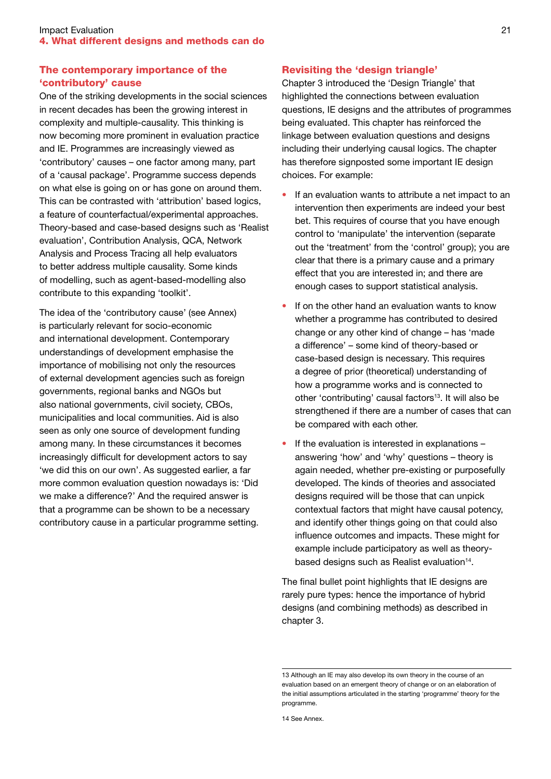# The contemporary importance of the 'contributory' cause

One of the striking developments in the social sciences in recent decades has been the growing interest in complexity and multiple-causality. This thinking is now becoming more prominent in evaluation practice and IE. Programmes are increasingly viewed as 'contributory' causes – one factor among many, part of a 'causal package'. Programme success depends on what else is going on or has gone on around them. This can be contrasted with 'attribution' based logics, a feature of counterfactual/experimental approaches. Theory-based and case-based designs such as 'Realist evaluation', Contribution Analysis, QCA, Network Analysis and Process Tracing all help evaluators to better address multiple causality. Some kinds of modelling, such as agent-based-modelling also contribute to this expanding 'toolkit'.

The idea of the 'contributory cause' (see Annex) is particularly relevant for socio-economic and international development. Contemporary understandings of development emphasise the importance of mobilising not only the resources of external development agencies such as foreign governments, regional banks and NGOs but also national governments, civil society, CBOs, municipalities and local communities. Aid is also seen as only one source of development funding among many. In these circumstances it becomes increasingly difficult for development actors to say 'we did this on our own'. As suggested earlier, a far more common evaluation question nowadays is: 'Did we make a difference?' And the required answer is that a programme can be shown to be a necessary contributory cause in a particular programme setting.

## Revisiting the 'design triangle'

Chapter 3 introduced the 'Design Triangle' that highlighted the connections between evaluation questions, IE designs and the attributes of programmes being evaluated. This chapter has reinforced the linkage between evaluation questions and designs including their underlying causal logics. The chapter has therefore signposted some important IE design choices. For example:

- If an evaluation wants to attribute a net impact to an intervention then experiments are indeed your best bet. This requires of course that you have enough control to 'manipulate' the intervention (separate out the 'treatment' from the 'control' group); you are clear that there is a primary cause and a primary effect that you are interested in; and there are enough cases to support statistical analysis.
- If on the other hand an evaluation wants to know whether a programme has contributed to desired change or any other kind of change – has 'made a difference' – some kind of theory-based or case-based design is necessary. This requires a degree of prior (theoretical) understanding of how a programme works and is connected to other 'contributing' causal factors<sup>13</sup>. It will also be strengthened if there are a number of cases that can be compared with each other.
- If the evaluation is interested in explanations  $$ answering 'how' and 'why' questions – theory is again needed, whether pre-existing or purposefully developed. The kinds of theories and associated designs required will be those that can unpick contextual factors that might have causal potency, and identify other things going on that could also influence outcomes and impacts. These might for example include participatory as well as theorybased designs such as Realist evaluation<sup>14</sup>.

The final bullet point highlights that IE designs are rarely pure types: hence the importance of hybrid designs (and combining methods) as described in chapter 3.

<sup>13</sup> Although an IE may also develop its own theory in the course of an evaluation based on an emergent theory of change or on an elaboration of the initial assumptions articulated in the starting 'programme' theory for the programme.

<sup>14</sup> See Annex.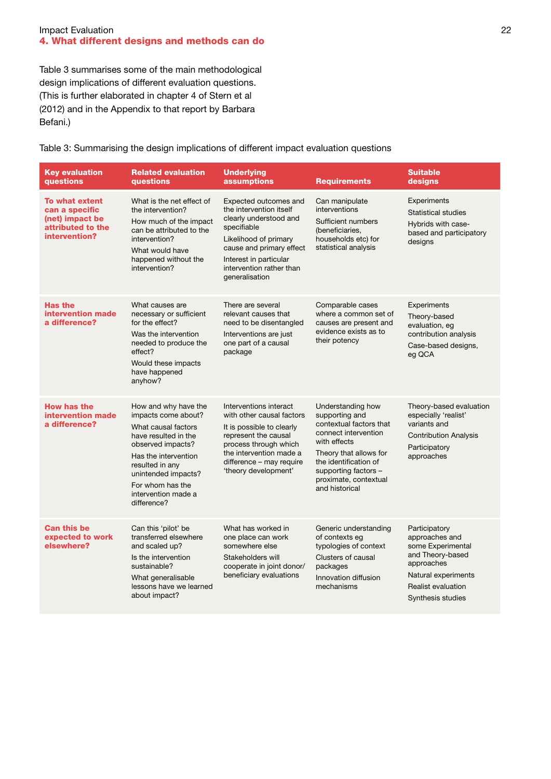#### **Impact Evaluation** 22 4. What different designs and methods can do

Table 3 summarises some of the main methodological design implications of different evaluation questions. (This is further elaborated in chapter 4 of Stern et al (2012) and in the Appendix to that report by Barbara Befani.)

Table 3: Summarising the design implications of different impact evaluation questions

| <b>Key evaluation</b><br>questions                                                        | <b>Related evaluation</b><br>questions                                                                                                                                                                                                      | <b>Underlying</b><br>assumptions                                                                                                                                                                                       | <b>Requirements</b>                                                                                                                                                                                                          | <b>Suitable</b><br>designs                                                                                                                               |
|-------------------------------------------------------------------------------------------|---------------------------------------------------------------------------------------------------------------------------------------------------------------------------------------------------------------------------------------------|------------------------------------------------------------------------------------------------------------------------------------------------------------------------------------------------------------------------|------------------------------------------------------------------------------------------------------------------------------------------------------------------------------------------------------------------------------|----------------------------------------------------------------------------------------------------------------------------------------------------------|
| To what extent<br>can a specific<br>(net) impact be<br>attributed to the<br>intervention? | What is the net effect of<br>the intervention?<br>How much of the impact<br>can be attributed to the<br>intervention?<br>What would have<br>happened without the<br>intervention?                                                           | Expected outcomes and<br>the intervention itself<br>clearly understood and<br>specifiable<br>Likelihood of primary<br>cause and primary effect<br>Interest in particular<br>intervention rather than<br>generalisation | Can manipulate<br>interventions<br>Sufficient numbers<br>(beneficiaries.<br>households etc) for<br>statistical analysis                                                                                                      | Experiments<br>Statistical studies<br>Hybrids with case-<br>based and participatory<br>designs                                                           |
| <b>Has the</b><br>intervention made<br>a difference?                                      | What causes are<br>necessary or sufficient<br>for the effect?<br>Was the intervention<br>needed to produce the<br>effect?<br>Would these impacts<br>have happened<br>anyhow?                                                                | There are several<br>relevant causes that<br>need to be disentangled<br>Interventions are just<br>one part of a causal<br>package                                                                                      | Comparable cases<br>where a common set of<br>causes are present and<br>evidence exists as to<br>their potency                                                                                                                | Experiments<br>Theory-based<br>evaluation, eg<br>contribution analysis<br>Case-based designs,<br>eg QCA                                                  |
| <b>How has the</b><br>intervention made<br>a difference?                                  | How and why have the<br>impacts come about?<br>What causal factors<br>have resulted in the<br>observed impacts?<br>Has the intervention<br>resulted in any<br>unintended impacts?<br>For whom has the<br>intervention made a<br>difference? | Interventions interact<br>with other causal factors<br>It is possible to clearly<br>represent the causal<br>process through which<br>the intervention made a<br>difference - may require<br>'theory development'       | Understanding how<br>supporting and<br>contextual factors that<br>connect intervention<br>with effects<br>Theory that allows for<br>the identification of<br>supporting factors -<br>proximate, contextual<br>and historical | Theory-based evaluation<br>especially 'realist'<br>variants and<br><b>Contribution Analysis</b><br>Participatory<br>approaches                           |
| <b>Can this be</b><br>expected to work<br>elsewhere?                                      | Can this 'pilot' be<br>transferred elsewhere<br>and scaled up?<br>Is the intervention<br>sustainable?<br>What generalisable<br>lessons have we learned<br>about impact?                                                                     | What has worked in<br>one place can work<br>somewhere else<br>Stakeholders will<br>cooperate in joint donor/<br>beneficiary evaluations                                                                                | Generic understanding<br>of contexts eq<br>typologies of context<br>Clusters of causal<br>packages<br>Innovation diffusion<br>mechanisms                                                                                     | Participatory<br>approaches and<br>some Experimental<br>and Theory-based<br>approaches<br>Natural experiments<br>Realist evaluation<br>Synthesis studies |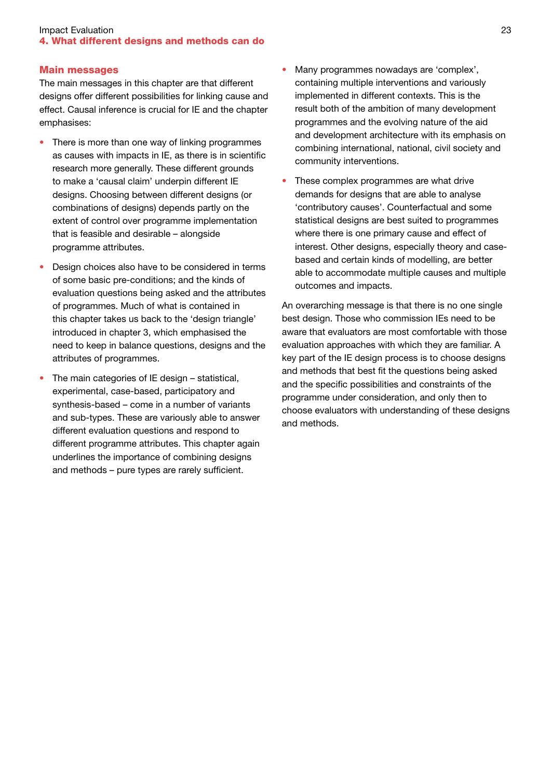#### **Impact Evaluation** 23 4. What different designs and methods can do

#### Main messages

The main messages in this chapter are that different designs offer different possibilities for linking cause and effect. Causal inference is crucial for IE and the chapter emphasises:

- There is more than one way of linking programmes as causes with impacts in IE, as there is in scientific research more generally. These different grounds to make a 'causal claim' underpin different IE designs. Choosing between different designs (or combinations of designs) depends partly on the extent of control over programme implementation that is feasible and desirable – alongside programme attributes.
- Design choices also have to be considered in terms of some basic pre-conditions; and the kinds of evaluation questions being asked and the attributes of programmes. Much of what is contained in this chapter takes us back to the 'design triangle' introduced in chapter 3, which emphasised the need to keep in balance questions, designs and the attributes of programmes.
- The main categories of IE design statistical, experimental, case-based, participatory and synthesis-based – come in a number of variants and sub-types. These are variously able to answer different evaluation questions and respond to different programme attributes. This chapter again underlines the importance of combining designs and methods – pure types are rarely sufficient.
- Many programmes nowadays are 'complex', containing multiple interventions and variously implemented in different contexts. This is the result both of the ambition of many development programmes and the evolving nature of the aid and development architecture with its emphasis on combining international, national, civil society and community interventions.
- These complex programmes are what drive demands for designs that are able to analyse 'contributory causes'. Counterfactual and some statistical designs are best suited to programmes where there is one primary cause and effect of interest. Other designs, especially theory and casebased and certain kinds of modelling, are better able to accommodate multiple causes and multiple outcomes and impacts.

An overarching message is that there is no one single best design. Those who commission IEs need to be aware that evaluators are most comfortable with those evaluation approaches with which they are familiar. A key part of the IE design process is to choose designs and methods that best fit the questions being asked and the specific possibilities and constraints of the programme under consideration, and only then to choose evaluators with understanding of these designs and methods.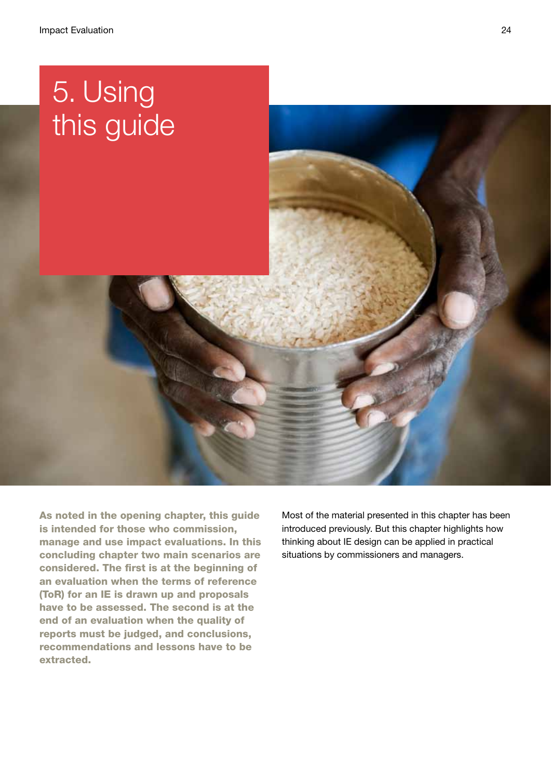# 5. Using this guide

As noted in the opening chapter, this guide is intended for those who commission, manage and use impact evaluations. In this concluding chapter two main scenarios are considered. The first is at the beginning of an evaluation when the terms of reference (ToR) for an IE is drawn up and proposals have to be assessed. The second is at the end of an evaluation when the quality of reports must be judged, and conclusions, recommendations and lessons have to be extracted.

Most of the material presented in this chapter has been introduced previously. But this chapter highlights how thinking about IE design can be applied in practical situations by commissioners and managers.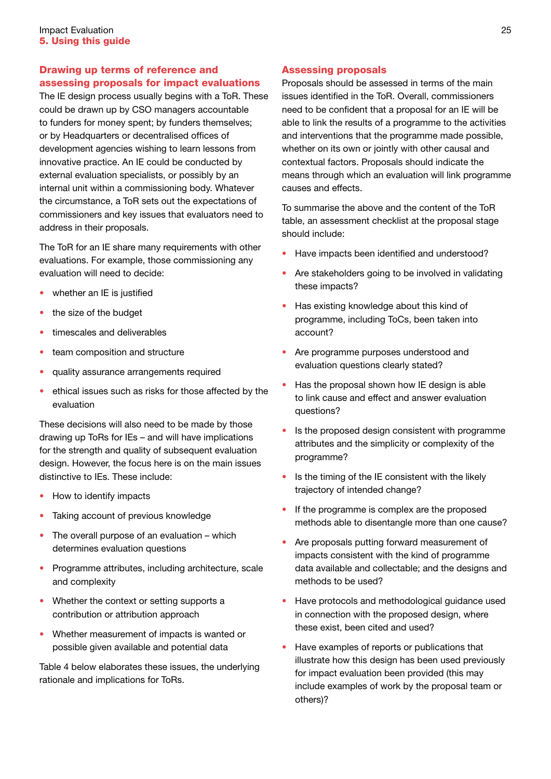# Drawing up terms of reference and assessing proposals for impact evaluations

The IE design process usually begins with a ToR. These could be drawn up by CSO managers accountable to funders for money spent; by funders themselves; or by Headquarters or decentralised offices of development agencies wishing to learn lessons from innovative practice. An IE could be conducted by external evaluation specialists, or possibly by an internal unit within a commissioning body. Whatever the circumstance, a ToR sets out the expectations of commissioners and key issues that evaluators need to address in their proposals.

The ToR for an IE share many requirements with other evaluations. For example, those commissioning any evaluation will need to decide:

- whether an IE is justified
- the size of the budget
- timescales and deliverables
- team composition and structure
- quality assurance arrangements required
- ethical issues such as risks for those affected by the evaluation

These decisions will also need to be made by those drawing up ToRs for IEs – and will have implications for the strength and quality of subsequent evaluation design. However, the focus here is on the main issues distinctive to IEs. These include:

- How to identify impacts
- Taking account of previous knowledge
- $\bullet$  The overall purpose of an evaluation which determines evaluation questions
- Programme attributes, including architecture, scale and complexity
- Whether the context or setting supports a contribution or attribution approach
- Whether measurement of impacts is wanted or possible given available and potential data

Table 4 below elaborates these issues, the underlying rationale and implications for ToRs.

# Assessing proposals

Proposals should be assessed in terms of the main issues identified in the ToR. Overall, commissioners need to be confident that a proposal for an IE will be able to link the results of a programme to the activities and interventions that the programme made possible, whether on its own or jointly with other causal and contextual factors. Proposals should indicate the means through which an evaluation will link programme causes and effects.

To summarise the above and the content of the ToR table, an assessment checklist at the proposal stage should include:

- Have impacts been identified and understood?
- Are stakeholders going to be involved in validating these impacts?
- Has existing knowledge about this kind of programme, including ToCs, been taken into account?
- Are programme purposes understood and evaluation questions clearly stated?
- Has the proposal shown how IE design is able to link cause and effect and answer evaluation questions?
- Is the proposed design consistent with programme attributes and the simplicity or complexity of the programme?
- Is the timing of the IE consistent with the likely trajectory of intended change?
- If the programme is complex are the proposed methods able to disentangle more than one cause?
- Are proposals putting forward measurement of impacts consistent with the kind of programme data available and collectable; and the designs and methods to be used?
- Have protocols and methodological guidance used in connection with the proposed design, where these exist, been cited and used?
- Have examples of reports or publications that illustrate how this design has been used previously for impact evaluation been provided (this may include examples of work by the proposal team or others)?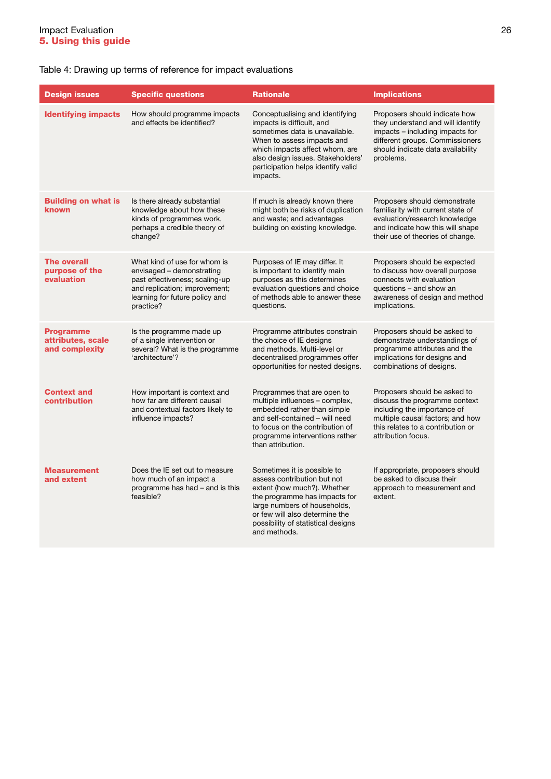# Table 4: Drawing up terms of reference for impact evaluations

| <b>Design issues</b>                                    | <b>Specific questions</b>                                                                                                                                                   | <b>Rationale</b>                                                                                                                                                                                                                                      | <b>Implications</b>                                                                                                                                                                         |
|---------------------------------------------------------|-----------------------------------------------------------------------------------------------------------------------------------------------------------------------------|-------------------------------------------------------------------------------------------------------------------------------------------------------------------------------------------------------------------------------------------------------|---------------------------------------------------------------------------------------------------------------------------------------------------------------------------------------------|
| <b>Identifying impacts</b>                              | How should programme impacts<br>and effects be identified?                                                                                                                  | Conceptualising and identifying<br>impacts is difficult, and<br>sometimes data is unavailable.<br>When to assess impacts and<br>which impacts affect whom, are<br>also design issues. Stakeholders'<br>participation helps identify valid<br>impacts. | Proposers should indicate how<br>they understand and will identify<br>impacts - including impacts for<br>different groups. Commissioners<br>should indicate data availability<br>problems.  |
| <b>Building on what is</b><br>known                     | Is there already substantial<br>knowledge about how these<br>kinds of programmes work,<br>perhaps a credible theory of<br>change?                                           | If much is already known there<br>might both be risks of duplication<br>and waste; and advantages<br>building on existing knowledge.                                                                                                                  | Proposers should demonstrate<br>familiarity with current state of<br>evaluation/research knowledge<br>and indicate how this will shape<br>their use of theories of change.                  |
| <b>The overall</b><br>purpose of the<br>evaluation      | What kind of use for whom is<br>envisaged - demonstrating<br>past effectiveness; scaling-up<br>and replication; improvement;<br>learning for future policy and<br>practice? | Purposes of IE may differ. It<br>is important to identify main<br>purposes as this determines<br>evaluation questions and choice<br>of methods able to answer these<br>questions.                                                                     | Proposers should be expected<br>to discuss how overall purpose<br>connects with evaluation<br>questions - and show an<br>awareness of design and method<br>implications.                    |
| <b>Programme</b><br>attributes, scale<br>and complexity | Is the programme made up<br>of a single intervention or<br>several? What is the programme<br>'architecture'?                                                                | Programme attributes constrain<br>the choice of IE designs<br>and methods. Multi-level or<br>decentralised programmes offer<br>opportunities for nested designs.                                                                                      | Proposers should be asked to<br>demonstrate understandings of<br>programme attributes and the<br>implications for designs and<br>combinations of designs.                                   |
| <b>Context and</b><br>contribution                      | How important is context and<br>how far are different causal<br>and contextual factors likely to<br>influence impacts?                                                      | Programmes that are open to<br>multiple influences - complex,<br>embedded rather than simple<br>and self-contained - will need<br>to focus on the contribution of<br>programme interventions rather<br>than attribution.                              | Proposers should be asked to<br>discuss the programme context<br>including the importance of<br>multiple causal factors; and how<br>this relates to a contribution or<br>attribution focus. |
| <b>Measurement</b><br>and extent                        | Does the IE set out to measure<br>how much of an impact a<br>programme has had - and is this<br>feasible?                                                                   | Sometimes it is possible to<br>assess contribution but not<br>extent (how much?). Whether<br>the programme has impacts for<br>large numbers of households,<br>or few will also determine the<br>possibility of statistical designs<br>and methods.    | If appropriate, proposers should<br>be asked to discuss their<br>approach to measurement and<br>extent.                                                                                     |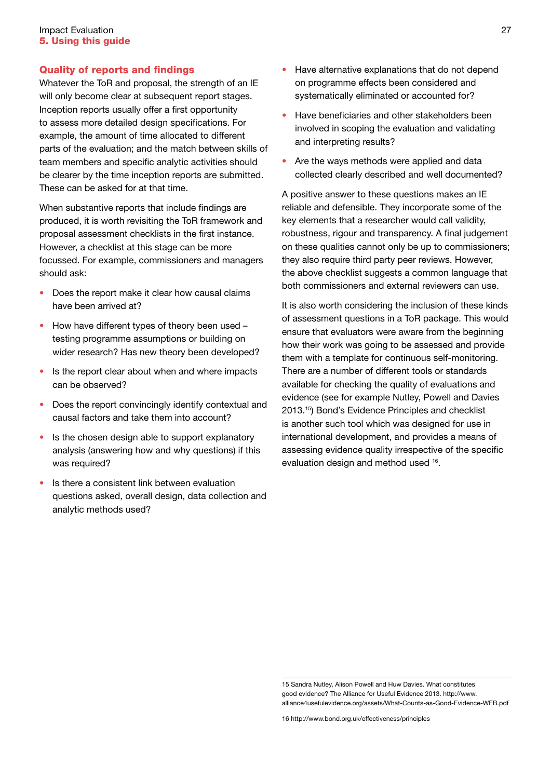#### **Impact Evaluation** 27 5. Using this guide

# Quality of reports and findings

Whatever the ToR and proposal, the strength of an IE will only become clear at subsequent report stages. Inception reports usually offer a first opportunity to assess more detailed design specifications. For example, the amount of time allocated to different parts of the evaluation; and the match between skills of team members and specific analytic activities should be clearer by the time inception reports are submitted. These can be asked for at that time.

When substantive reports that include findings are produced, it is worth revisiting the ToR framework and proposal assessment checklists in the first instance. However, a checklist at this stage can be more focussed. For example, commissioners and managers should ask:

- Does the report make it clear how causal claims have been arrived at?
- How have different types of theory been used  $$ testing programme assumptions or building on wider research? Has new theory been developed?
- Is the report clear about when and where impacts can be observed?
- Does the report convincingly identify contextual and causal factors and take them into account?
- Is the chosen design able to support explanatory analysis (answering how and why questions) if this was required?
- Is there a consistent link between evaluation questions asked, overall design, data collection and analytic methods used?
- Have alternative explanations that do not depend on programme effects been considered and systematically eliminated or accounted for?
- Have beneficiaries and other stakeholders been involved in scoping the evaluation and validating and interpreting results?
- Are the ways methods were applied and data collected clearly described and well documented?

A positive answer to these questions makes an IE reliable and defensible. They incorporate some of the key elements that a researcher would call validity, robustness, rigour and transparency. A final judgement on these qualities cannot only be up to commissioners; they also require third party peer reviews. However, the above checklist suggests a common language that both commissioners and external reviewers can use.

It is also worth considering the inclusion of these kinds of assessment questions in a ToR package. This would ensure that evaluators were aware from the beginning how their work was going to be assessed and provide them with a template for continuous self-monitoring. There are a number of different tools or standards available for checking the quality of evaluations and evidence (see for example Nutley, Powell and Davies 2013.15) Bond's Evidence Principles and checklist is another such tool which was designed for use in international development, and provides a means of assessing evidence quality irrespective of the specific evaluation design and method used 16.

<sup>15</sup> Sandra Nutley, Alison Powell and Huw Davies. What constitutes good evidence? The Alliance for Useful Evidence 2013. http://www. alliance4usefulevidence.org/assets/What-Counts-as-Good-Evidence-WEB.pdf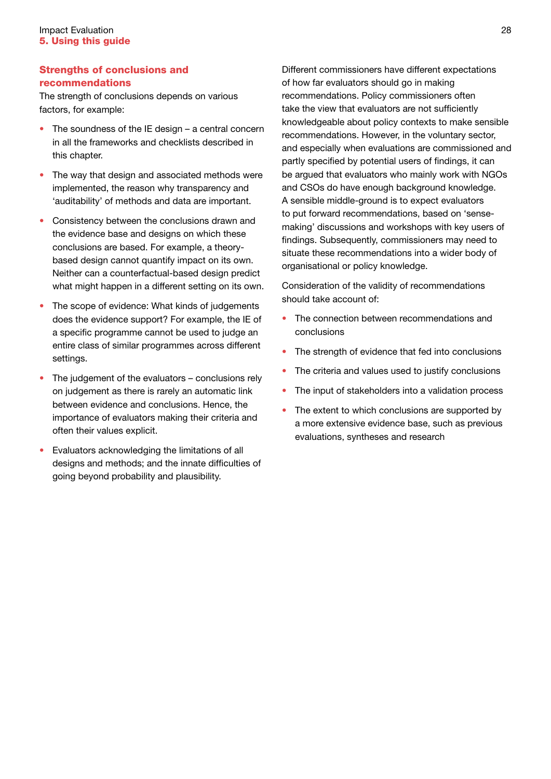# Strengths of conclusions and recommendations

The strength of conclusions depends on various factors, for example:

- $\bullet$  The soundness of the IE design a central concern in all the frameworks and checklists described in this chapter.
- The way that design and associated methods were implemented, the reason why transparency and 'auditability' of methods and data are important.
- Consistency between the conclusions drawn and the evidence base and designs on which these conclusions are based. For example, a theorybased design cannot quantify impact on its own. Neither can a counterfactual-based design predict what might happen in a different setting on its own.
- The scope of evidence: What kinds of judgements does the evidence support? For example, the IE of a specific programme cannot be used to judge an entire class of similar programmes across different settings.
- The judgement of the evaluators conclusions rely on judgement as there is rarely an automatic link between evidence and conclusions. Hence, the importance of evaluators making their criteria and often their values explicit.
- Evaluators acknowledging the limitations of all designs and methods; and the innate difficulties of going beyond probability and plausibility.

Different commissioners have different expectations of how far evaluators should go in making recommendations. Policy commissioners often take the view that evaluators are not sufficiently knowledgeable about policy contexts to make sensible recommendations. However, in the voluntary sector, and especially when evaluations are commissioned and partly specified by potential users of findings, it can be argued that evaluators who mainly work with NGOs and CSOs do have enough background knowledge. A sensible middle-ground is to expect evaluators to put forward recommendations, based on 'sensemaking' discussions and workshops with key users of findings. Subsequently, commissioners may need to situate these recommendations into a wider body of organisational or policy knowledge.

Consideration of the validity of recommendations should take account of:

- The connection between recommendations and conclusions
- The strength of evidence that fed into conclusions
- The criteria and values used to justify conclusions
- The input of stakeholders into a validation process
- The extent to which conclusions are supported by a more extensive evidence base, such as previous evaluations, syntheses and research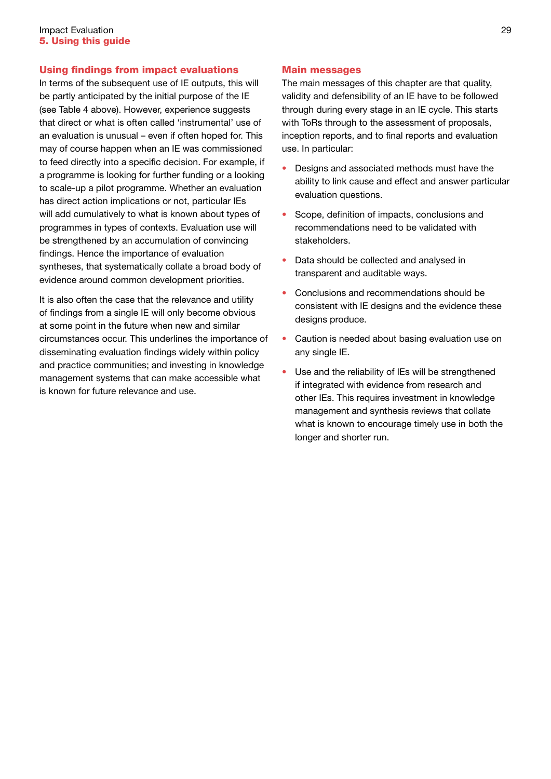### Using findings from impact evaluations

In terms of the subsequent use of IE outputs, this will be partly anticipated by the initial purpose of the IE (see Table 4 above). However, experience suggests that direct or what is often called 'instrumental' use of an evaluation is unusual – even if often hoped for. This may of course happen when an IE was commissioned to feed directly into a specific decision. For example, if a programme is looking for further funding or a looking to scale-up a pilot programme. Whether an evaluation has direct action implications or not, particular IEs will add cumulatively to what is known about types of programmes in types of contexts. Evaluation use will be strengthened by an accumulation of convincing findings. Hence the importance of evaluation syntheses, that systematically collate a broad body of evidence around common development priorities.

It is also often the case that the relevance and utility of findings from a single IE will only become obvious at some point in the future when new and similar circumstances occur. This underlines the importance of disseminating evaluation findings widely within policy and practice communities; and investing in knowledge management systems that can make accessible what is known for future relevance and use.

#### Main messages

The main messages of this chapter are that quality, validity and defensibility of an IE have to be followed through during every stage in an IE cycle. This starts with ToRs through to the assessment of proposals, inception reports, and to final reports and evaluation use. In particular:

- Designs and associated methods must have the ability to link cause and effect and answer particular evaluation questions.
- Scope, definition of impacts, conclusions and recommendations need to be validated with stakeholders.
- Data should be collected and analysed in transparent and auditable ways.
- Conclusions and recommendations should be consistent with IE designs and the evidence these designs produce.
- Caution is needed about basing evaluation use on any single IE.
- Use and the reliability of IEs will be strengthened if integrated with evidence from research and other IEs. This requires investment in knowledge management and synthesis reviews that collate what is known to encourage timely use in both the longer and shorter run.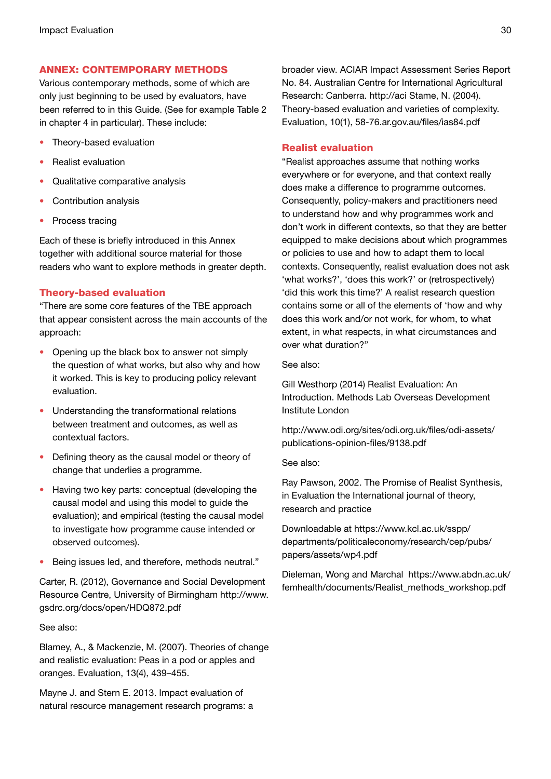## ANNEX: Contemporary methods

Various contemporary methods, some of which are only just beginning to be used by evaluators, have been referred to in this Guide. (See for example Table 2 in chapter 4 in particular). These include:

- Theory-based evaluation
- Realist evaluation
- Qualitative comparative analysis
- Contribution analysis
- Process tracing

Each of these is briefly introduced in this Annex together with additional source material for those readers who want to explore methods in greater depth.

# Theory-based evaluation

"There are some core features of the TBE approach that appear consistent across the main accounts of the approach:

- Opening up the black box to answer not simply the question of what works, but also why and how it worked. This is key to producing policy relevant evaluation.
- Understanding the transformational relations between treatment and outcomes, as well as contextual factors.
- Defining theory as the causal model or theory of change that underlies a programme.
- Having two key parts: conceptual (developing the causal model and using this model to guide the evaluation); and empirical (testing the causal model to investigate how programme cause intended or observed outcomes).
- Being issues led, and therefore, methods neutral."

Carter, R. (2012), Governance and Social Development Resource Centre, University of Birmingham http://www. gsdrc.org/docs/open/HDQ872.pdf

#### See also:

Blamey, A., & Mackenzie, M. (2007). Theories of change and realistic evaluation: Peas in a pod or apples and oranges. Evaluation, 13(4), 439–455.

Mayne J. and Stern E. 2013. Impact evaluation of natural resource management research programs: a broader view. ACIAR Impact Assessment Series Report No. 84. Australian Centre for International Agricultural Research: Canberra. http://aci Stame, N. (2004). Theory-based evaluation and varieties of complexity. Evaluation, 10(1), 58-76.ar.gov.au/files/ias84.pdf

## Realist evaluation

"Realist approaches assume that nothing works everywhere or for everyone, and that context really does make a difference to programme outcomes. Consequently, policy-makers and practitioners need to understand how and why programmes work and don't work in different contexts, so that they are better equipped to make decisions about which programmes or policies to use and how to adapt them to local contexts. Consequently, realist evaluation does not ask 'what works?', 'does this work?' or (retrospectively) 'did this work this time?' A realist research question contains some or all of the elements of 'how and why does this work and/or not work, for whom, to what extent, in what respects, in what circumstances and over what duration?"

See also:

Gill Westhorp (2014) Realist Evaluation: An Introduction. Methods Lab Overseas Development Institute London

http://www.odi.org/sites/odi.org.uk/files/odi-assets/ publications-opinion-files/9138.pdf

See also:

Ray Pawson, 2002. The Promise of Realist Synthesis, in Evaluation the International journal of theory, research and practice

Downloadable at https://www.kcl.ac.uk/sspp/ departments/politicaleconomy/research/cep/pubs/ papers/assets/wp4.pdf

Dieleman, Wong and Marchal https://www.abdn.ac.uk/ femhealth/documents/Realist\_methods\_workshop.pdf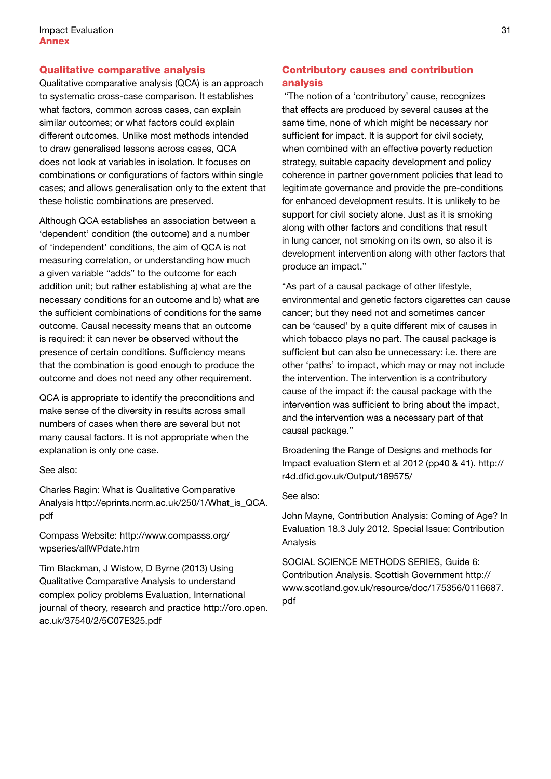# Qualitative comparative analysis

Qualitative comparative analysis (QCA) is an approach to systematic cross-case comparison. It establishes what factors, common across cases, can explain similar outcomes; or what factors could explain different outcomes. Unlike most methods intended to draw generalised lessons across cases, QCA does not look at variables in isolation. It focuses on combinations or configurations of factors within single cases; and allows generalisation only to the extent that these holistic combinations are preserved.

Although QCA establishes an association between a 'dependent' condition (the outcome) and a number of 'independent' conditions, the aim of QCA is not measuring correlation, or understanding how much a given variable "adds" to the outcome for each addition unit; but rather establishing a) what are the necessary conditions for an outcome and b) what are the sufficient combinations of conditions for the same outcome. Causal necessity means that an outcome is required: it can never be observed without the presence of certain conditions. Sufficiency means that the combination is good enough to produce the outcome and does not need any other requirement.

QCA is appropriate to identify the preconditions and make sense of the diversity in results across small numbers of cases when there are several but not many causal factors. It is not appropriate when the explanation is only one case.

See also:

Charles Ragin: What is Qualitative Comparative Analysis http://eprints.ncrm.ac.uk/250/1/What\_is\_QCA. pdf

Compass Website: http://www.compasss.org/ wpseries/allWPdate.htm

Tim Blackman, J Wistow, D Byrne (2013) Using Qualitative Comparative Analysis to understand complex policy problems Evaluation, International journal of theory, research and practice http://oro.open. ac.uk/37540/2/5C07E325.pdf

# Contributory causes and contribution analysis

 "The notion of a 'contributory' cause, recognizes that effects are produced by several causes at the same time, none of which might be necessary nor sufficient for impact. It is support for civil society, when combined with an effective poverty reduction strategy, suitable capacity development and policy coherence in partner government policies that lead to legitimate governance and provide the pre-conditions for enhanced development results. It is unlikely to be support for civil society alone. Just as it is smoking along with other factors and conditions that result in lung cancer, not smoking on its own, so also it is development intervention along with other factors that produce an impact."

"As part of a causal package of other lifestyle, environmental and genetic factors cigarettes can cause cancer; but they need not and sometimes cancer can be 'caused' by a quite different mix of causes in which tobacco plays no part. The causal package is sufficient but can also be unnecessary: i.e. there are other 'paths' to impact, which may or may not include the intervention. The intervention is a contributory cause of the impact if: the causal package with the intervention was sufficient to bring about the impact, and the intervention was a necessary part of that causal package."

Broadening the Range of Designs and methods for Impact evaluation Stern et al 2012 (pp40 & 41). http:// r4d.dfid.gov.uk/Output/189575/

#### See also:

John Mayne, Contribution Analysis: Coming of Age? In Evaluation 18.3 July 2012. Special Issue: Contribution Analysis

SOCIAL SCIENCE METHODS SERIES, Guide 6: Contribution Analysis. Scottish Government http:// www.scotland.gov.uk/resource/doc/175356/0116687. pdf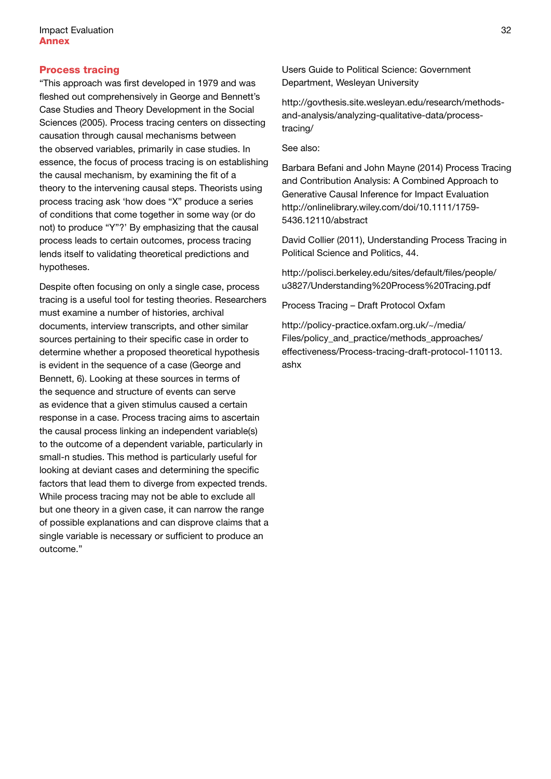### Process tracing

"This approach was first developed in 1979 and was fleshed out comprehensively in George and Bennett's Case Studies and Theory Development in the Social Sciences (2005). Process tracing centers on dissecting causation through causal mechanisms between the observed variables, primarily in case studies. In essence, the focus of process tracing is on establishing the causal mechanism, by examining the fit of a theory to the intervening causal steps. Theorists using process tracing ask 'how does "X" produce a series of conditions that come together in some way (or do not) to produce "Y"?' By emphasizing that the causal process leads to certain outcomes, process tracing lends itself to validating theoretical predictions and hypotheses.

Despite often focusing on only a single case, process tracing is a useful tool for testing theories. Researchers must examine a number of histories, archival documents, interview transcripts, and other similar sources pertaining to their specific case in order to determine whether a proposed theoretical hypothesis is evident in the sequence of a case (George and Bennett, 6). Looking at these sources in terms of the sequence and structure of events can serve as evidence that a given stimulus caused a certain response in a case. Process tracing aims to ascertain the causal process linking an independent variable(s) to the outcome of a dependent variable, particularly in small-n studies. This method is particularly useful for looking at deviant cases and determining the specific factors that lead them to diverge from expected trends. While process tracing may not be able to exclude all but one theory in a given case, it can narrow the range of possible explanations and can disprove claims that a single variable is necessary or sufficient to produce an outcome."

Users Guide to Political Science: Government Department, Wesleyan University

http://govthesis.site.wesleyan.edu/research/methodsand-analysis/analyzing-qualitative-data/processtracing/

See also:

Barbara Befani and John Mayne (2014) Process Tracing and Contribution Analysis: A Combined Approach to Generative Causal Inference for Impact Evaluation http://onlinelibrary.wiley.com/doi/10.1111/1759- 5436.12110/abstract

David Collier (2011), Understanding Process Tracing in Political Science and Politics, 44.

http://polisci.berkeley.edu/sites/default/files/people/ u3827/Understanding%20Process%20Tracing.pdf

Process Tracing – Draft Protocol Oxfam

http://policy-practice.oxfam.org.uk/~/media/ Files/policy and practice/methods approaches/ effectiveness/Process-tracing-draft-protocol-110113. ashx